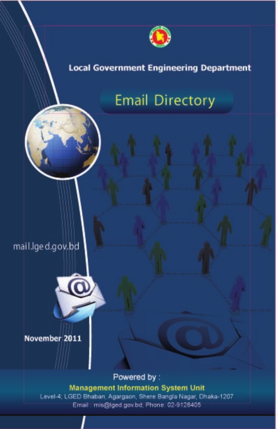

# **Local Government Engineering Department**

# **Email Directory**

mail.lge d.gov.bd



November 2011

Powered by:

**Management Information System Unit** Level-4; LGED Bhaban, Agargaon, Shere Bangla Nagar, Dhaka-1207 Email: mis@lged.gov.bd, Phone: 02-9128405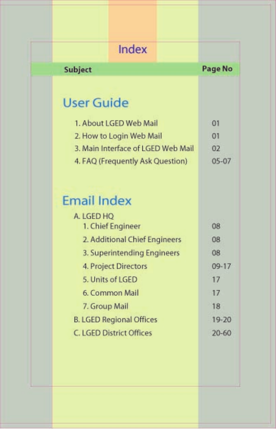|                   | Index                              |           |
|-------------------|------------------------------------|-----------|
| Subject           |                                    | Page No   |
|                   |                                    |           |
| <b>User Guide</b> |                                    |           |
|                   | 1. About LGED Web Mail             | 01        |
|                   | 2. How to Login Web Mail           | $_{01}$   |
|                   | 3. Main Interface of LGED Web Mail | 02        |
|                   | 4. FAQ (Frequently Ask Question)   | $05 - 07$ |
| A. LGED HO        | 1. Chief Engineer                  | 08        |
|                   |                                    |           |
|                   | 2. Additional Chief Engineers      | 08        |
|                   | 3. Superintending Engineers        | 08        |
|                   | 4. Project Directors               | $09 - 17$ |
|                   | 5. Units of LGED                   | 17        |
|                   | 6. Common Mail                     | 17        |
| 7. Group Mail     |                                    | 18        |
|                   | <b>B. LGED Regional Offices</b>    | $19 - 20$ |
|                   | C. LGED District Offices           | $20 - 60$ |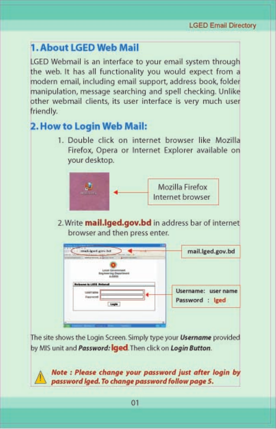# **1. About LGED Web Mail**

LGED Webmail is an interface to your email system through the web. It has all functionality you would expect from a modern email, including email support, address book, folder manipulation, message searching and spell checking. Unlike other webmail clients, its user interface is very much user friendly.

# 2. How to Login Web Mail:

1. Double click on internet browser like Mozilla Firefox, Opera or Internet Explorer available on your desktop.



2. Write mail.lged.gov.bd in address bar of internet browser and then press enter.



The site shows the Login Screen. Simply type your Username provided by MIS unit and Password: Iged. Then click on Login Button.

Note : Please change your password just after login by password lged. To change password follow page 5.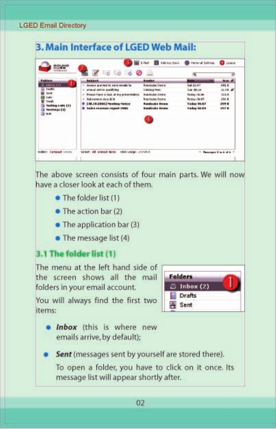| 연장님선비                                                                                                      |                                                                                                                                                                                                             | Address these<br>12                                                                                                                                              | Personal Settings                                                                                             | Legislat                                                     |
|------------------------------------------------------------------------------------------------------------|-------------------------------------------------------------------------------------------------------------------------------------------------------------------------------------------------------------|------------------------------------------------------------------------------------------------------------------------------------------------------------------|---------------------------------------------------------------------------------------------------------------|--------------------------------------------------------------|
|                                                                                                            | 75660                                                                                                                                                                                                       | ۵                                                                                                                                                                |                                                                                                               |                                                              |
| Falklass                                                                                                   | <b>Saik kich</b>                                                                                                                                                                                            | <b>Annalisa</b>                                                                                                                                                  |                                                                                                               | <b>Man</b>                                                   |
| 1 Information<br><b>Deaths</b><br>3448<br>3.4%<br>TVAIR-<br><b>Flashing Light (23)</b><br>Newbook CIO<br>- | Assess provided to send excells to<br>٠<br>armial centre qualifying<br>٠<br>Playak Pack A look at the pressidence<br>÷<br>fishwankon dogu kok<br>[36.19.3006] Pleating Parker<br>liable rearnes report 2006 | <b>Rossicules Davis</b><br><b>Exhains read</b><br><b>Bigollouise Diemiei</b><br><b>Buchtube Dinew</b><br><b>Eastcobe Dress</b><br><b>Rissalviche Engin</b><br>4. | liat Elsi3<br>Tues 84134<br><b>Triality Clk 36</b><br><b>Booke Oklah</b><br>Today 06:67<br><b>Teday Ok 89</b> | <b>GBLB</b><br>36 kB<br>32,30 W.<br>$+9+8$<br>299 8<br>297.8 |
| Politat: Excessor stone-                                                                                   | select: AB invest note<br><b>ISBN 12060001-8101-0011</b>                                                                                                                                                    |                                                                                                                                                                  | ٠                                                                                                             | Newspect View of 6                                           |

The above screen consists of four main parts. We will now have a closer look at each of them.

- · The folder list (1)
- The action bar (2)
- The application bar (3)
- $\bullet$  The message list (4)

# 3.1 The folder list (1)

The menu at the left hand side of the screen shows all the mail folders in your email account.

You will always find the first two items:



. Inbox (this is where new emails arrive, by default);

Sent (messages sent by yourself are stored there).

To open a folder, you have to click on it once. Its message list will appear shortly after.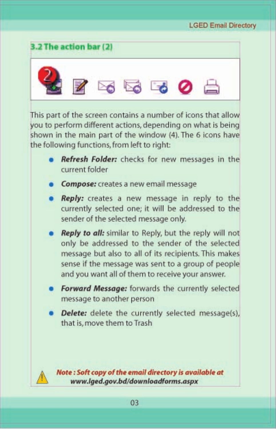

This part of the screen contains a number of icons that allow you to perform different actions, depending on what is being shown in the main part of the window (4). The 6 icons have the following functions, from left to right:

- Refresh Folder: checks for new messages in the current folder
- Compose: creates a new email message
- Reply: creates a new message in reply to the currently selected one; it will be addressed to the sender of the selected message only.
- Reply to all: similar to Reply, but the reply will not only be addressed to the sender of the selected message but also to all of its recipients. This makes sense if the message was sent to a group of people and you want all of them to receive your answer.
- Forward Message: forwards the currently selected message to another person
- Delete: delete the currently selected message(s), that is, move them to Trash

Note: Soft copy of the email directory is available at www.lged.gov.bd/downloadforms.aspx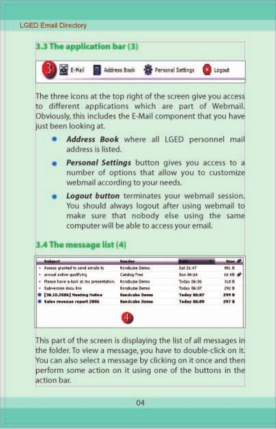

The three icons at the top right of the screen give you access to different applications which are part of Webmail. Obviously, this includes the E-Mail component that you have just been looking at.

- Address Book where all LGED personnel mail address is listed.
- Personal Settings button gives you access to a number of options that allow you to customize webmail according to your needs.
- Logout button terminates your webmail session. You should always logout after using webmail to make sure that nobody else using the same computer will be able to access your email.

# 3.4 The message list (4)

| Subject.                                 | Sender.               | Date               | Stee, of |
|------------------------------------------|-----------------------|--------------------|----------|
| - Aveess granted to send emails to       | <b>Rondoube Demo.</b> | Sat 21:47          | 881 B    |
| · armual unline qualifying               | Catalog Free          | Sun D6:54          | 16 KB @  |
| + Flease have a look at my presentation. | Rondoube Demo:        | Today 06106        | 318 B    |
| · Subversion docu link                   | Rondcube Demo         | <b>Today 06:07</b> | 292 B    |
| <b>C38.10.2006] Meeting Notice</b>       | <b>Rendcube Dema</b>  | <b>Teday 06:07</b> | 299 B    |
| Sales revenue report 2006                | <b>Rondcube Demo</b>  | Teday 86:09        | 297 B    |

This part of the screen is displaying the list of all messages in the folder. To view a message, you have to double-click on it. You can also select a message by clicking on it once and then perform some action on it using one of the buttons in the action bar.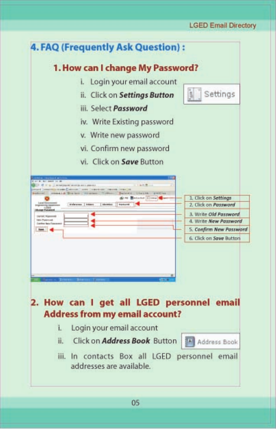### **LGED Email Directory**

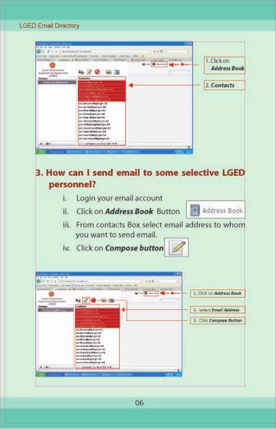

06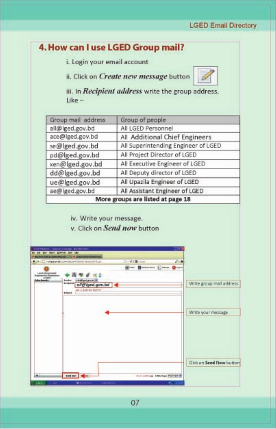### **LGED Email Directory**



07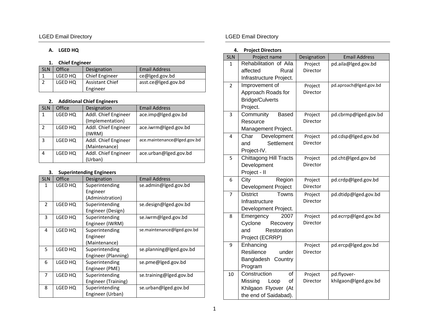### **A. LGED HQ**

### **1. Chief Engineer**

| <b>SLN</b> | Office  | Designation            | <b>Email Address</b> |
|------------|---------|------------------------|----------------------|
|            | LGED HQ | Chief Engineer         | ce@lged.gov.bd       |
|            | LGED HQ | <b>Assistant Chief</b> | asst.ce@lged.gov.bd  |
|            |         | Engineer               |                      |

### **2. Additional Chief Engineers**

| <b>SLN</b>    | Office  | Designation          | <b>Email Address</b>        |
|---------------|---------|----------------------|-----------------------------|
| 1             | LGED HQ | Addl. Chief Engineer | ace.imp@lged.gov.bd         |
|               |         | (Implementation)     |                             |
| $\mathcal{P}$ | LGED HQ | Addl. Chief Engineer | ace.iwrm@lged.gov.bd        |
|               |         | (IWRM)               |                             |
| 3             | LGED HQ | Addl. Chief Engineer | ace.maintenance@lged.gov.bd |
|               |         | (Maintenance)        |                             |
| 4             | LGED HQ | Addl. Chief Engineer | ace.urban@lged.gov.bd       |
|               |         | (Urban)              |                             |

### **3. Superintending Engineers**

| <b>SLN</b>     | Office                                       | Designation                                    | <b>Email Address</b>       |
|----------------|----------------------------------------------|------------------------------------------------|----------------------------|
| 1              | LGED HQ                                      | Superintending<br>Engineer<br>(Administration) | se.admin@lged.gov.bd       |
| $\overline{2}$ | LGED HQ                                      | Superintending<br>Engineer (Design)            | se.design@lged.gov.bd      |
| 3              | LGED HQ<br>Superintending<br>Engineer (IWRM) |                                                | se.iwrm@lged.gov.bd        |
| 4              | LGED HQ                                      | Superintending<br>Engineer<br>(Maintenance)    | se.maintenance@lged.gov.bd |
| 5              | LGED HQ                                      | Superintending<br>Engineer (Planning)          | se.planning@lged.gov.bd    |
| 6              | LGED HQ                                      | Superintending<br>Engineer (PME)               | se.pme@lged.gov.bd         |
| 7              | LGED HQ                                      | Superintending<br>Engineer (Training)          | se.training@lged.gov.bd    |
| 8              | LGED HQ                                      | Superintending<br>Engineer (Urban)             | se.urban@lged.gov.bd       |

### LGED Email Directory **LGED** Email Directory

### **4. Project Directors**

|                | <b>TIVICUL DIFECIUIS</b>      |             |                        |
|----------------|-------------------------------|-------------|------------------------|
| <b>SLN</b>     | Project name                  | Designation | <b>Email Address</b>   |
| $\mathbf{1}$   | Rehabilitation of Aila        | Project     | pd.aila@lged.gov.bd    |
|                | affected<br>Rural             | Director    |                        |
|                | Infrastructure Project.       |             |                        |
| $\overline{2}$ | Improvement of                | Project     | pd.aproach@lged.gov.bd |
|                | Approach Roads for            | Director    |                        |
|                | <b>Bridge/Culverts</b>        |             |                        |
|                | Project.                      |             |                        |
| 3              | Community<br><b>Based</b>     | Project     | pd.cbrmp@lged.gov.bd   |
|                | Resource                      | Director    |                        |
|                | Management Project.           |             |                        |
| $\overline{4}$ | Development<br>Char           | Project     | pd.cdsp@lged.gov.bd    |
|                | Settlement<br>and             | Director    |                        |
|                | Project-IV.                   |             |                        |
| 5              | <b>Chittagong Hill Tracts</b> | Project     | pd.cht@lged.gov.bd     |
|                | Development                   | Director    |                        |
|                | Project - II                  |             |                        |
| 6              | City<br>Region                | Project     | pd.crdp@lged.gov.bd    |
|                | <b>Development Project</b>    | Director    |                        |
| $\overline{7}$ | <b>District</b><br>Towns      | Project     | pd.dtidp@lged.gov.bd   |
|                | Infrastructure                | Director    |                        |
|                | Development Project.          |             |                        |
| 8              | 2007<br>Emergency             | Project     | pd.ecrrp@lged.gov.bd   |
|                | Cyclone<br>Recovery           | Director    |                        |
|                | and<br>Restoration            |             |                        |
|                | Project (ECRRP)               |             |                        |
| 9              | Enhancing                     | Project     | pd.ercp@lged.gov.bd    |
|                | Resilience<br>under           | Director    |                        |
|                | Bangladesh Country            |             |                        |
|                | Program                       |             |                        |
| 10             | of<br>Construction            | Project     | pd.flyover-            |
|                | Missing<br>of<br>Loop         | Director    | khilgaon@lged.gov.bd   |
|                | Khilgaon Flyover (At          |             |                        |
|                | the end of Saidabad).         |             |                        |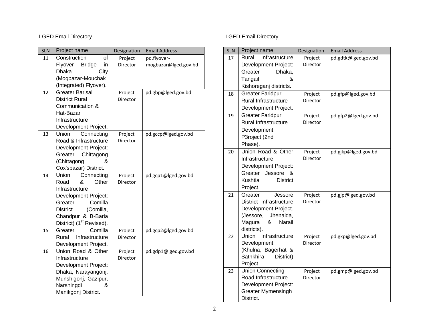| <b>SLN</b> | Project name                                               | Designation         | <b>Email Address</b> |
|------------|------------------------------------------------------------|---------------------|----------------------|
| 11         | Construction<br>of                                         | Project             | pd.flyover-          |
|            | Flyover<br><b>Bridge</b><br>in                             | Director            | mogbazar@lged.gov.bd |
|            | City<br>Dhaka                                              |                     |                      |
|            | (Mogbazar-Mouchak                                          |                     |                      |
|            | (Integrated) Flyover).                                     |                     |                      |
| 12         | <b>Greater Barisal</b>                                     | Project             | pd.gbp@lged.gov.bd   |
|            | <b>District Rural</b>                                      | Director            |                      |
|            | Communication &                                            |                     |                      |
|            | Hat-Bazar                                                  |                     |                      |
|            | Infrastructure                                             |                     |                      |
|            | Development Project.                                       |                     |                      |
| 13         | Union<br>Connecting                                        | Project             | pd.gccp@lged.gov.bd  |
|            | Road & Infrastructure                                      | Director            |                      |
|            | Development Project:                                       |                     |                      |
|            | Greater<br>Chittagong                                      |                     |                      |
|            | (Chittagong<br>&                                           |                     |                      |
|            | Cox'sbazar) District.                                      |                     |                      |
| 14         | Union<br>Connecting                                        | Project             | pd.gcp1@lged.gov.bd  |
|            | &<br>Road<br>Other                                         | Director            |                      |
|            | Infrastructure                                             |                     |                      |
|            | Development Project:                                       |                     |                      |
|            | Comilla<br>Greater                                         |                     |                      |
|            | <b>District</b><br>(Comilla,                               |                     |                      |
|            | Chandpur & B-Baria<br>District) (1 <sup>st</sup> Revised). |                     |                      |
| 15         | Comilla<br>Greater                                         |                     |                      |
|            | Infrastructure<br>Rural                                    | Project<br>Director | pd.gcp2@lged.gov.bd  |
|            | Development Project.                                       |                     |                      |
| 16         | Union Road & Other                                         | Project             | pd.gdp1@lged.gov.bd  |
|            | Infrastructure                                             | Director            |                      |
|            | Development Project:                                       |                     |                      |
|            | Dhaka, Narayangonj,                                        |                     |                      |
|            | Munshigonj, Gazipur,                                       |                     |                      |
|            | Narshingdi<br>&                                            |                     |                      |
|            | Manikgonj District.                                        |                     |                      |

| <b>SLN</b> | Project name                                                                                                                         | Designation         | <b>Email Address</b> |
|------------|--------------------------------------------------------------------------------------------------------------------------------------|---------------------|----------------------|
| 17         | Rural<br>Infrastructure<br>Development Project:<br>Dhaka,<br>Greater<br>Tangail<br>&<br>Kishoreganj districts.                       | Project<br>Director | pd.gdtk@lged.gov.bd  |
| 18         | <b>Greater Faridpur</b><br><b>Rural Infrastructure</b><br>Development Project.                                                       | Project<br>Director | pd.gfp@lged.gov.bd   |
| 19         | <b>Greater Faridpur</b><br><b>Rural Infrastructure</b><br>Development<br>P3roject (2nd<br>Phase).                                    | Project<br>Director | pd.gfp2@lged.gov.bd  |
| 20         | Union Road & Other<br>Infrastructure<br>Development Project:<br>Greater Jessore<br>&<br>Kushtia<br><b>District</b><br>Project.       | Project<br>Director | pd.gjkp@lged.gov.bd  |
| 21         | Jessore<br>Greater<br>District Infrastructure<br>Development Project.<br>(Jessore, Jhenaida,<br>&<br>Narail<br>Magura<br>districts). | Project<br>Director | pd.gjp@lged.gov.bd   |
| 22         | Union Infrastructure<br>Development<br>(Khulna, Bagerhat &<br>Sathkhira<br>District)<br>Project.                                     | Project<br>Director | pd.gkp@lged.gov.bd   |
| 23         | <b>Union Connecting</b><br>Road Infrastructure<br><b>Development Project:</b><br><b>Greater Mymensingh</b><br>District.              | Project<br>Director | pd.gmp@lged.gov.bd   |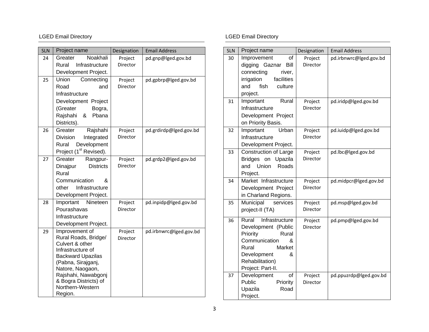| <b>SLN</b> | Project name                                  | Designation         | <b>Email Address</b>   |
|------------|-----------------------------------------------|---------------------|------------------------|
| 24         | Noakhali<br>Greater                           | Project             | pd.gnp@lged.gov.bd     |
|            | Rural<br>Infrastructure                       | Director            |                        |
|            | Development Project.                          |                     |                        |
| 25         | Union<br>Connecting                           | Project             | pd.gpbrp@lged.gov.bd   |
|            | Road<br>and                                   | Director            |                        |
|            | Infrastructure                                |                     |                        |
|            | Development Project                           |                     |                        |
|            | (Greater<br>Bogra,                            |                     |                        |
|            | Rajshahi<br>&<br>Pbana                        |                     |                        |
|            | Districts).                                   |                     |                        |
| 26         | Rajshahi<br>Greater                           | Project             | pd.grdirdp@lged.gov.bd |
|            | Division<br>Integrated                        | Director            |                        |
|            | Development<br>Rural                          |                     |                        |
|            | Project (1 <sup>st</sup> Revised).            |                     |                        |
| 27         | Greater<br>Rangpur-                           | Project             | pd.grdp2@lged.gov.bd   |
|            | <b>Districts</b><br>Dinajpur                  | Director            |                        |
|            | Rural                                         |                     |                        |
|            | Communication<br>&                            |                     |                        |
|            | Infrastructure<br>other                       |                     |                        |
|            | Development Project.<br>Important<br>Nineteen |                     |                        |
| 28         | Pourashavas                                   | Project<br>Director | pd.inpidp@lged.gov.bd  |
|            | Infrastructure                                |                     |                        |
|            | Development Project.                          |                     |                        |
| 29         | Improvement of                                |                     |                        |
|            | Rural Roads, Bridge/                          | Project<br>Director | pd.irbnwrc@lged.gov.bd |
|            | Culvert & other                               |                     |                        |
|            | Infrastructure of                             |                     |                        |
|            | <b>Backward Upazilas</b>                      |                     |                        |
|            | (Pabna, Sirajganj,                            |                     |                        |
|            | Natore, Naogaon,<br>Rajshahi, Nawabgonj       |                     |                        |
|            | & Bogra Districts) of                         |                     |                        |
|            | Northern-Western                              |                     |                        |
|            | Region.                                       |                     |                        |

| <b>SLN</b> | Project name                                                                                                                                                             | Designation         | <b>Email Address</b>   |
|------------|--------------------------------------------------------------------------------------------------------------------------------------------------------------------------|---------------------|------------------------|
| 30         | of<br>Improvement<br>digging Gaznar<br>Bill<br>connecting<br>river,<br>facilities<br>irrigation<br>fish<br>culture<br>and<br>project.                                    | Project<br>Director | pd.irbnwrc@lged.gov.bd |
| 31         | Important<br>Rural<br>Infrastructure<br>Development Project<br>on Priority Basis.                                                                                        | Project<br>Director | pd.iridp@lged.gov.bd   |
| 32         | <b>Urban</b><br>Important<br>Infrastructure<br>Development Project.                                                                                                      | Project<br>Director | pd.iuidp@lged.gov.bd   |
| 33         | Construction of Large<br>Bridges on Upazila<br>Union<br>Roads<br>and<br>Project.                                                                                         | Project<br>Director | pd.lbc@lged.gov.bd     |
| 34         | Market Infrastructure<br>Development Project<br>in Charland Regions.                                                                                                     | Project<br>Director | pd.midpcr@lged.gov.bd  |
| 35         | Municipal<br>services<br>project-II (TA)                                                                                                                                 | Project<br>Director | pd.msp@lged.gov.bd     |
| 36         | Infrastructure<br>Rural<br>Development (Public<br>Priority<br>Rural<br>Communication<br>&<br>Rural<br>Market<br>&<br>Development<br>Rehabilitation)<br>Project: Part-II. | Project<br>Director | pd.pmp@lged.gov.bd     |
| 37         | of<br>Development<br>Public<br>Priority<br>Upazila<br>Road<br>Project.                                                                                                   | Project<br>Director | pd.ppuzrdp@lged.gov.bd |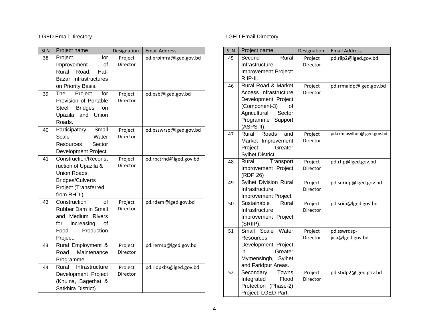| <b>SLN</b> | Project name                                    | Designation | <b>Email Address</b>    |
|------------|-------------------------------------------------|-------------|-------------------------|
| 38         | for<br>Project                                  | Project     | pd.prpinfra@lged.gov.bd |
|            | of<br>Improvement                               | Director    |                         |
|            | Rural<br>Road,<br>Hat-                          |             |                         |
|            | Bazar Infrastructures                           |             |                         |
|            | on Priority Basis.                              |             |                         |
| 39         | Project<br>for<br>The                           | Project     | pd.psb@lged.gov.bd      |
|            | Provision of Portable<br>Steel                  | Director    |                         |
|            | <b>Bridges</b><br>on<br>Union<br>Upazila<br>and |             |                         |
|            | Roads.                                          |             |                         |
| 40         | Participatory<br>Small                          | Project     | pd.psswrsp@lged.gov.bd  |
|            | Scale<br>Water                                  | Director    |                         |
|            | <b>Resources</b><br>Sector                      |             |                         |
|            | Development Project.                            |             |                         |
| 41         | <b>Construction/Reconst</b>                     | Project     | pd.rbctrhd@lged.gov.bd  |
|            | ruction of Upazila &                            | Director    |                         |
|            | Union Roads,                                    |             |                         |
|            | <b>Bridges/Culverts</b>                         |             |                         |
|            | Project (Transferred                            |             |                         |
|            | from RHD.)                                      |             |                         |
| 42         | Ωf<br>Construction                              | Project     | pd.rdam@lged.gov.bd     |
|            | <b>Rubber Dam in Small</b>                      | Director    |                         |
|            | and Medium Rivers                               |             |                         |
|            | increasing<br>for<br>οf<br>Production<br>Food   |             |                         |
|            | Project.                                        |             |                         |
| 43         | Rural Employment &                              | Project     | pd.rermp@lged.gov.bd    |
|            | Maintenance<br>Road                             | Director    |                         |
|            | Programme.                                      |             |                         |
| 44         | Infrastructure<br>Rural                         | Project     | pd.ridpkbs@lged.gov.bd  |
|            | Development Project                             | Director    |                         |
|            | (Khulna, Bagerhat &                             |             |                         |
|            | Satkhira District).                             |             |                         |

| <b>SLN</b> | Project name                           | Designation         | <b>Email Address</b>            |
|------------|----------------------------------------|---------------------|---------------------------------|
| 45         | Second<br>Rural                        | Project             | pd.riip2@lged.gov.bd            |
|            | Infrastructure<br>Improvement Project: | Director            |                                 |
|            | RIIP-II.                               |                     |                                 |
| 46         | Rural Road & Market                    | Project             | pd.rrmaidp@lged.gov.bd          |
|            | Access Infrastructure                  | Director            |                                 |
|            | Development Project                    |                     |                                 |
|            | (Component-3)<br>οf                    |                     |                                 |
|            | Agricultural<br>Sector                 |                     |                                 |
|            | Programme Support                      |                     |                                 |
|            | (ASPS-II).                             |                     |                                 |
| 47         | Roads<br>Rural<br>and                  | Project             | pd.rrmipsylhet@lged.gov.bd      |
|            | Market Improvement                     | Director            |                                 |
|            | Project:<br>Greater                    |                     |                                 |
| 48         | Sylhet District.<br>Rural<br>Transport | Project             | pd.rtip@lged.gov.bd             |
|            | Improvement Project                    | Director            |                                 |
|            | (RDP 26)                               |                     |                                 |
| 49         | Sylhet Division Rural                  | Project             | pd.sdridp@lged.gov.bd           |
|            | Infrastructure                         | Director            |                                 |
|            | <b>Improvement Project</b>             |                     |                                 |
| 50         | Sustainable<br>Rural                   | Project             | pd.sriip@lged.gov.bd            |
|            | Infrastructure                         | Director            |                                 |
|            | Improvement Project                    |                     |                                 |
|            | (SRIIP).<br>Small<br>Scale             |                     |                                 |
| 51         | Water<br><b>Resources</b>              | Project<br>Director | pd.sswrdsp-<br>jica@lged.gov.bd |
|            | Development Project                    |                     |                                 |
|            | Greater<br>in                          |                     |                                 |
|            | Mymensingh,<br>Sylhet                  |                     |                                 |
|            | and Faridpur Areas.                    |                     |                                 |
| 52         | Secondary<br>Towns                     | Project             | pd.stidp2@lged.gov.bd           |
|            | Integrated<br>Flood                    | Director            |                                 |
|            | Protection (Phase-2)                   |                     |                                 |
|            | Project, LGED Part.                    |                     |                                 |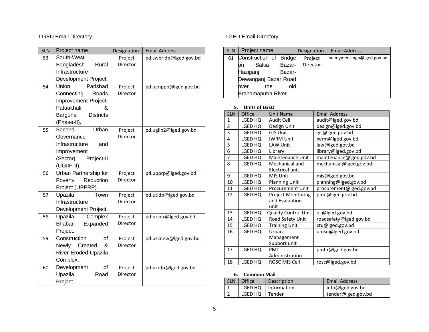| <b>SLN</b> | Project name                 | Designation | <b>Email Address</b>   |
|------------|------------------------------|-------------|------------------------|
| 53         | South-West                   | Project     | pd.swbridp@lged.gov.bd |
|            | Bangladesh<br>Rural          | Director    |                        |
|            | Infrastructure               |             |                        |
|            | Development Project.         |             |                        |
| 54         | Parishad<br>Union            | Project     | pd.ucrippb@lged.gov.bd |
|            | Roads<br>Connecting          | Director    |                        |
|            | Improvement Project:         |             |                        |
|            | Patuakhali                   |             |                        |
|            | <b>Districts</b><br>Barguna  |             |                        |
|            | (Phase-II).                  |             |                        |
| 55         | Urban<br>Second              | Project     | pd.ugiip2@lged.gov.bd  |
|            | Governance                   | Director    |                        |
|            | Infrastructure<br>and        |             |                        |
|            | Improvement                  |             |                        |
|            | (Sector)<br>Project-II       |             |                        |
|            | (UGIIP-II).                  |             |                        |
| 56         | Urban Partnership for        | Project     | pd.upprp@lged.gov.bd   |
|            | Poverty<br>Reduction         | Director    |                        |
|            | Project (UPPRP).             |             |                        |
| 57         | Upazila<br>Town              | Project     | pd.utidp@lged.gov.bd   |
|            | Infrastructure               | Director    |                        |
|            | Development Project.         |             |                        |
| 58         | Upazila<br>Complex           | Project     | pd.uzcex@lged.gov.bd   |
|            | <b>Bhaban</b><br>Expanded    | Director    |                        |
|            | Project.                     |             |                        |
| 59         | Construction<br>οf           | Project     | pd.uzcnew@lged.gov.bd  |
|            | Created<br>&<br><b>Newly</b> | Director    |                        |
|            | River Eroded Upazila         |             |                        |
|            | Complex.                     |             |                        |
| 60         | of<br>Development            | Project     | pd.uzrdp@lged.gov.bd   |
|            | Upazila<br>Road              | Director    |                        |
|            | Project.                     |             |                        |

| <b>SLN</b> | Project name           |     |        | Designation | <b>Email Address</b>      |
|------------|------------------------|-----|--------|-------------|---------------------------|
| 61         | Construction of Bridge |     |        | Project     | se.mymensingh@lged.gov.bd |
|            | Saltia<br>bn           |     | Bazar- | Director    |                           |
|            | Haziganj               |     | Bazar- |             |                           |
|            | Dewanganj Bazar Road   |     |        |             |                           |
|            | over                   | the | old    |             |                           |
|            | Brahamaputra River.    |     |        |             |                           |

### **5. Units of LGED**

| <b>SLN</b>     | Office  | <b>Unit Name</b>            | <b>Email Address</b>    |  |  |
|----------------|---------|-----------------------------|-------------------------|--|--|
| $\mathbf{1}$   | LGED HQ | Audit Cell                  | audit@lged.gov.bd       |  |  |
| $\overline{2}$ | LGED HQ | Design Unit                 | design@lged.gov.bd      |  |  |
| 3              | LGED HQ | <b>GIS Unit</b>             | gis@lged.gov.bd         |  |  |
| 4              | LGED HQ | <b>IWRM Unit</b>            | iwrm@lged.gov.bd        |  |  |
| 5              | LGED HQ | <b>LAW Unit</b>             | law@lged.gov.bd         |  |  |
| $\overline{6}$ | LGED HQ | Library                     | library@lged.gov.bd     |  |  |
| $\overline{7}$ | LGED HQ | <b>Maintenance Unit</b>     | maintenance@lged.gov.bd |  |  |
| 8              | LGED HQ | Mechanical and              | mechanical@lged.gov.bd  |  |  |
|                |         | Electrical unit             |                         |  |  |
| 9              | LGED HQ | MIS Unit                    | mis@lged.gov.bd         |  |  |
| 10             | LGED HQ | <b>Planning Unit</b>        | planning@lged.gov.bd    |  |  |
| 11             | LGED HQ | <b>Procurement Unit</b>     | procurement@lged.gov.bd |  |  |
| 12             | LGED HQ | <b>Project Monitoring</b>   | pme@lged.gov.bd         |  |  |
|                |         | and Evaluation              |                         |  |  |
|                |         | unit                        |                         |  |  |
| 13             | LGED HQ | <b>Quality Control Unit</b> | qc@lged.gov.bd          |  |  |
| 14             | LGED HQ | Road Safety Unit            | roadsafety@lged.gov.bd  |  |  |
| 15             | LGED HQ | <b>Training Unit</b>        | ctu@lged.gov.bd         |  |  |
| 16             | LGED HQ | Urban                       | umsu@lged.gov.bd        |  |  |
|                |         | Management                  |                         |  |  |
|                |         | Support unit                |                         |  |  |
| 17             | LGED HQ | <b>PMT</b>                  | pmta@lged.gov.bd        |  |  |
|                |         | Administration              |                         |  |  |
| 18             | LGED HQ | ROSC MIS Cell               | rosc@lged.gov.bd        |  |  |

### **6. Common Mail**

| SLN   Office     | Description           | <b>Email Address</b> |
|------------------|-----------------------|----------------------|
|                  | LGED HQ   Information | info@lged.gov.bd     |
| LGED HQ   Tender |                       | tender@lged.gov.bd   |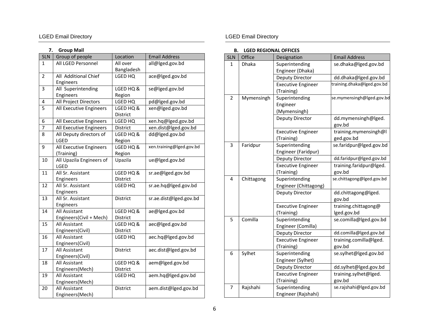### **7. Group Mail**

| <b>SLN</b>     | Group of people          | Location        | <b>Email Address</b>     |
|----------------|--------------------------|-----------------|--------------------------|
| 1              | All LGED Personnel       | All over        | all@lged.gov.bd          |
|                |                          | Bangladesh      |                          |
| $\overline{2}$ | All Additional Chief     | LGED HQ         | ace@lged.gov.bd          |
|                | Engineers                |                 |                          |
| 3              | All Superintending       | LGED HQ &       | se@lged.gov.bd           |
|                | Engineers                | Region          |                          |
| 4              | All Project Directors    | LGED HQ         | pd@lged.gov.bd           |
| 5              | All Executive Engineers  | LGED HQ &       | xen@lged.gov.bd          |
|                |                          | District        |                          |
| 6              | All Executive Engineers  | LGED HQ         | xen.hq@lged.gov.bd       |
| $\overline{7}$ | All Executive Engineers  | District        | xen.dist@lged.gov.bd     |
| 8              | All Deputy directors of  | LGED HQ &       | dd@lged.gov.bd           |
|                | LGED                     | Region          |                          |
| 9              | All Executive Engineers  | LGED HQ &       | xen.training@lged.gov.bd |
|                | (Training)               | Region          |                          |
| 10             | All Upazila Engineers of | Upazila         | ue@lged.gov.bd           |
|                | LGED                     |                 |                          |
| 11             | All Sr. Assistant        | LGED HQ &       | sr.ae@lged.gov.bd        |
|                | Engineers                | District        |                          |
| 12             | All Sr. Assistant        | LGED HQ         | sr.ae.hq@lged.gov.bd     |
|                | Engineers                |                 |                          |
| 13             | All Sr. Assistant        | District        | sr.ae.dist@lged.gov.bd   |
|                | Engineers                |                 |                          |
| 14             | All Assistant            | LGED HQ &       | ae@lged.gov.bd           |
|                | Engineers(Civil + Mech)  | District        |                          |
| 15             | All Assistant            | LGED HQ &       | aec@lged.gov.bd          |
|                | Engineers(Civil)         | District        |                          |
| 16             | All Assistant            | LGED HQ         | aec.hq@lged.gov.bd       |
|                | Engineers(Civil)         |                 |                          |
| 17             | All Assistant            | <b>District</b> | aec.dist@lged.gov.bd     |
|                | Engineers(Civil)         |                 |                          |
| 18             | All Assistant            | LGED HQ &       | aem@lged.gov.bd          |
|                | Engineers(Mech)          | District        |                          |
| 19             | All Assistant            | LGED HQ         | aem.hq@lged.gov.bd       |
|                | Engineers(Mech)          |                 |                          |
| 20             | All Assistant            | District        | aem.dist@lged.gov.bd     |
|                | Engineers(Mech)          |                 |                          |

### LGED Email Directory **LGED** Email Directory

### **B. LGED REGIONAL OFFICES**

| <b>SLN</b>     | Office     | Designation                                | <b>Email Address</b>                |
|----------------|------------|--------------------------------------------|-------------------------------------|
| 1              | Dhaka      | Superintending<br>Engineer (Dhaka)         | se.dhaka@lged.gov.bd                |
|                |            | Deputy Director                            | dd.dhaka@lged.gov.bd                |
|                |            | <b>Executive Engineer</b><br>(Training)    | training.dhaka@lged.gov.bd          |
| $\overline{2}$ | Mymensingh | Superintending<br>Engineer<br>(Mymensingh) | se.mymensingh@lged.gov.bd           |
|                |            | Deputy Director                            | dd.mymensingh@lged.<br>gov.bd       |
|                |            | <b>Executive Engineer</b><br>(Training)    | training.mymensingh@l<br>ged.gov.bd |
| 3              | Faridpur   | Superintending<br>Engineer (Faridpur)      | se.faridpur@lged.gov.bd             |
|                |            | Deputy Director                            | dd.faridpur@lged.gov.bd             |
|                |            | <b>Executive Engineer</b><br>(Training)    | training.faridpur@lged.<br>gov.bd   |
| 4              | Chittagong | Superintending<br>Engineer (Chittagong)    | se.chittagong@lged.gov.bd           |
|                |            | Deputy Director                            | dd.chittagong@lged.<br>gov.bd       |
|                |            | <b>Executive Engineer</b><br>(Training)    | training.chittagong@<br>lged.gov.bd |
| 5              | Comilla    | Superintending<br>Engineer (Comilla)       | se.comilla@lged.gov.bd              |
|                |            | Deputy Director                            | dd.comilla@lged.gov.bd              |
|                |            | <b>Executive Engineer</b><br>(Training)    | training.comilla@lged.<br>gov.bd    |
| 6              | Sylhet     | Superintending<br>Engineer (Sylhet)        | se.sylhet@lged.gov.bd               |
|                |            | Deputy Director                            | dd.sylhet@lged.gov.bd               |
|                |            | <b>Executive Engineer</b>                  | training.sylhet@lged.               |
|                |            | (Training)                                 | gov.bd                              |
| 7              | Rajshahi   | Superintending<br>Engineer (Rajshahi)      | se.rajshahi@lged.gov.bd             |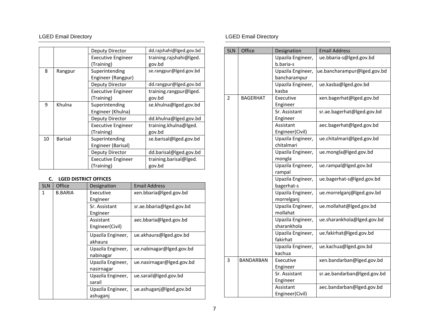|    |         | Deputy Director           | dd.rajshahi@lged.gov.bd |
|----|---------|---------------------------|-------------------------|
|    |         | <b>Executive Engineer</b> | training.rajshahi@lged. |
|    |         | (Training)                | gov.bd                  |
| 8  | Rangpur | Superintending            | se.rangpur@lged.gov.bd  |
|    |         | Engineer (Rangpur)        |                         |
|    |         | Deputy Director           | dd.rangpur@lged.gov.bd  |
|    |         | <b>Executive Engineer</b> | training.rangpur@lged.  |
|    |         | (Training)                | gov.bd                  |
| 9  | Khulna  | Superintending            | se.khulna@lged.gov.bd   |
|    |         | Engineer (Khulna)         |                         |
|    |         | Deputy Director           | dd.khulna@lged.gov.bd   |
|    |         | <b>Executive Engineer</b> | training.khulna@lged.   |
|    |         | (Training)                | gov.bd                  |
| 10 | Barisal | Superintending            | se.barisal@lged.gov.bd  |
|    |         | Engineer (Barisal)        |                         |
|    |         | Deputy Director           | dd.barisal@lged.gov.bd  |
|    |         | <b>Executive Engineer</b> | training.barisal@lged.  |
|    |         | (Training)                | gov.bd                  |

### **C. LGED DISTRICT OFFICES**

| <b>SLN</b> | Office         | Designation       | <b>Email Address</b>      |
|------------|----------------|-------------------|---------------------------|
| 1          | <b>B.BARIA</b> | Executive         | xen.bbaria@lged.gov.bd    |
|            |                | Engineer          |                           |
|            |                | Sr. Assistant     | sr.ae.bbaria@lged.gov.bd  |
|            |                | Engineer          |                           |
|            |                | Assistant         | aec.bbaria@lged.gov.bd    |
|            |                | Engineer(Civil)   |                           |
|            |                | Upazila Engineer, | ue.akhaura@lged.gov.bd    |
|            |                | akhaura           |                           |
|            |                | Upazila Engineer, | ue.nabinagar@lged.gov.bd  |
|            |                | nabinagar         |                           |
|            |                | Upazila Engineer, | ue.nasirnagar@lged.gov.bd |
|            |                | nasirnagar        |                           |
|            |                | Upazila Engineer, | ue.sarail@lged.gov.bd     |
|            |                | sarail            |                           |
|            |                | Upazila Engineer, | ue.ashuganj@lged.gov.bd   |
|            |                | ashuganj          |                           |

| <b>SLN</b>     | Office           | Designation       | <b>Email Address</b>        |
|----------------|------------------|-------------------|-----------------------------|
|                |                  | Upazila Engineer, | ue.bbaria-s@lged.gov.bd     |
|                |                  | b.baria-s         |                             |
|                |                  | Upazila Engineer, | ue.bancharampur@lged.gov.bd |
|                |                  | bancharampur      |                             |
|                |                  | Upazila Engineer, | ue.kasba@lged.gov.bd        |
|                |                  | kasba             |                             |
| $\overline{2}$ | <b>BAGERHAT</b>  | Executive         | xen.bagerhat@lged.gov.bd    |
|                |                  | Engineer          |                             |
|                |                  | Sr. Assistant     | sr.ae.bagerhat@lged.gov.bd  |
|                |                  | Engineer          |                             |
|                |                  | Assistant         | aec.bagerhat@lged.gov.bd    |
|                |                  | Engineer(Civil)   |                             |
|                |                  | Upazila Engineer, | ue.chitalmari@lged.gov.bd   |
|                |                  | chitalmari        |                             |
|                |                  | Upazila Engineer, | ue.mongla@lged.gov.bd       |
|                |                  | mongla            |                             |
|                |                  | Upazila Engineer, | ue.rampal@lged.gov.bd       |
|                |                  | rampal            |                             |
|                |                  | Upazila Engineer, | ue.bagerhat-s@lged.gov.bd   |
|                |                  | bagerhat-s        |                             |
|                |                  | Upazila Engineer, | ue.morrelganj@lged.gov.bd   |
|                |                  | morrelganj        |                             |
|                |                  | Upazila Engineer, | ue.mollahat@lged.gov.bd     |
|                |                  | mollahat          |                             |
|                |                  | Upazila Engineer, | ue.sharankhola@lged.gov.bd  |
|                |                  | sharankhola       |                             |
|                |                  | Upazila Engineer, | ue.fakirhat@lged.gov.bd     |
|                |                  | fakirhat          |                             |
|                |                  | Upazila Engineer, | ue.kachua@lged.gov.bd       |
|                |                  | kachua            |                             |
| 3              | <b>BANDARBAN</b> | Executive         | xen.bandarban@lged.gov.bd   |
|                |                  | Engineer          |                             |
|                |                  | Sr. Assistant     | sr.ae.bandarban@lged.gov.bd |
|                |                  | Engineer          |                             |
|                |                  | Assistant         | aec.bandarban@lged.gov.bd   |
|                |                  | Engineer(Civil)   |                             |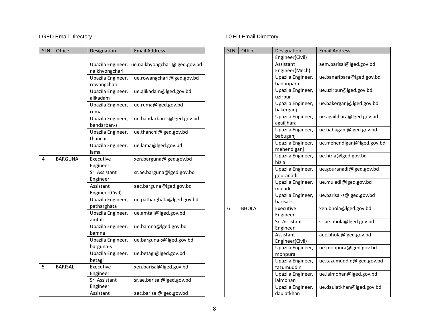| <b>SLN</b> | Office         | Designation                      | <b>Email Address</b>          |
|------------|----------------|----------------------------------|-------------------------------|
|            |                |                                  |                               |
|            |                | Upazila Engineer,                | ue.naikhyongchari@lged.gov.bd |
|            |                | naikhyongchari                   |                               |
|            |                | Upazila Engineer,                | ue.rowangchari@lged.gov.bd    |
|            |                | rowangchari                      |                               |
|            |                | Upazila Engineer,                | ue.alikadam@lged.gov.bd       |
|            |                | alikadam                         |                               |
|            |                | Upazila Engineer,                | ue.ruma@lged.gov.bd           |
|            |                | ruma                             |                               |
|            |                | Upazila Engineer,<br>bandarban-s | ue.bandarban-s@lged.gov.bd    |
|            |                | Upazila Engineer,<br>thanchi     | ue.thanchi@lged.gov.bd        |
|            |                | Upazila Engineer,<br>lama        | ue.lama@lged.gov.bd           |
| 4          | <b>BARGUNA</b> | Executive                        | xen.barguna@lged.gov.bd       |
|            |                | Engineer                         |                               |
|            |                | Sr. Assistant                    | sr.ae.barguna@lged.gov.bd     |
|            |                | Engineer                         |                               |
|            |                | Assistant                        | aec.barguna@lged.gov.bd       |
|            |                | Engineer(Civil)                  |                               |
|            |                | Upazila Engineer,                | ue.patharghata@lged.gov.bd    |
|            |                | patharghata                      |                               |
|            |                | Upazila Engineer,                | ue.amtali@lged.gov.bd         |
|            |                | amtali                           |                               |
|            |                | Upazila Engineer,<br>bamna       | ue.bamna@lged.gov.bd          |
|            |                | Upazila Engineer,                | ue.barguna-s@lged.gov.bd      |
|            |                | barguna-s                        |                               |
|            |                | Upazila Engineer,                | ue.betagi@lged.gov.bd         |
|            |                | betagi                           |                               |
| 5          | <b>BARISAL</b> | Executive                        | xen.barisal@lged.gov.bd       |
|            |                | Engineer                         |                               |
|            |                | Sr. Assistant                    | sr.ae.barisal@lged.gov.bd     |
|            |                | Engineer                         |                               |
|            |                | Assistant                        | aec.barisal@lged.gov.bd       |

| <b>SLN</b> | Office       | Designation                     | <b>Email Address</b>       |
|------------|--------------|---------------------------------|----------------------------|
|            |              | Engineer(Civil)                 |                            |
|            |              | Assistant                       | aem.barisal@lged.gov.bd    |
|            |              | Engineer(Mech)                  |                            |
|            |              | Upazila Engineer,               | ue.banaripara@lged.gov.bd  |
|            |              | banaripara                      |                            |
|            |              | Upazila Engineer,               | ue.uzirpur@lged.gov.bd     |
|            |              | uzirpur                         |                            |
|            |              | Upazila Engineer,               | ue.bakerganj@lged.gov.bd   |
|            |              | bakerganj                       |                            |
|            |              | Upazila Engineer,               | ue.agailjhara@lged.gov.bd  |
|            |              | agailjhara                      |                            |
|            |              | Upazila Engineer,<br>babuganj   | ue.babuganj@lged.gov.bd    |
|            |              | Upazila Engineer,               | ue.mehendiganj@lged.gov.bd |
|            |              | mehendiganj                     |                            |
|            |              | Upazila Engineer,<br>hizla      | ue.hizla@lged.gov.bd       |
|            |              | Upazila Engineer,               | ue.gouranadi@lged.gov.bd   |
|            |              | gouranadi                       |                            |
|            |              | Upazila Engineer,<br>muladi     | ue.muladi@lged.gov.bd      |
|            |              | Upazila Engineer,               | ue.barisal-s@lged.gov.bd   |
|            |              | barisal-s                       |                            |
| 6          | <b>BHOLA</b> | Executive                       | xen.bhola@lged.gov.bd      |
|            |              | Engineer                        |                            |
|            |              | Sr. Assistant                   | sr.ae.bhola@lged.gov.bd    |
|            |              | Engineer                        |                            |
|            |              | Assistant                       | aec.bhola@lged.gov.bd      |
|            |              | Engineer(Civil)                 |                            |
|            |              | Upazila Engineer,               | ue.monpura@lged.gov.bd     |
|            |              | monpura                         |                            |
|            |              | Upazila Engineer,               | ue.tazumuddin@lged.gov.bd  |
|            |              | tazumuddin                      |                            |
|            |              | Upazila Engineer,<br>lalmohan   | ue.lalmohan@lged.gov.bd    |
|            |              | Upazila Engineer,<br>daulatkhan | ue.daulatkhan@lged.gov.bd  |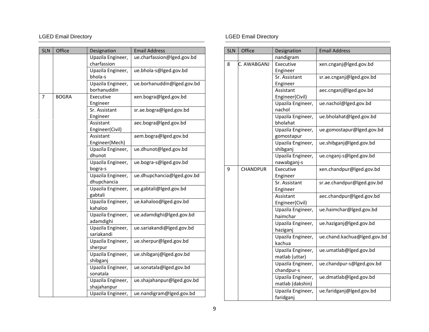| <b>SLN</b> | Office       | Designation                      | <b>Email Address</b>       |
|------------|--------------|----------------------------------|----------------------------|
|            |              | Upazila Engineer,<br>charfassion | ue.charfassion@lged.gov.bd |
|            |              | Upazila Engineer,<br>bhola-s     | ue.bhola-s@lged.gov.bd     |
|            |              | Upazila Engineer,<br>borhanuddin | ue.borhanuddin@lged.gov.bd |
| 7          | <b>BOGRA</b> | Executive<br>Engineer            | xen.bogra@lged.gov.bd      |
|            |              | Sr. Assistant<br>Engineer        | sr.ae.bogra@lged.gov.bd    |
|            |              | Assistant<br>Engineer(Civil)     | aec.bogra@lged.gov.bd      |
|            |              | Assistant<br>Engineer(Mech)      | aem.bogra@lged.gov.bd      |
|            |              | Upazila Engineer,<br>dhunot      | ue.dhunot@lged.gov.bd      |
|            |              | Upazila Engineer,<br>bogra-s     | ue.bogra-s@lged.gov.bd     |
|            |              | Upazila Engineer,<br>dhupchancia | ue.dhupchancia@lged.gov.bd |
|            |              | Upazila Engineer,<br>gabtali     | ue.gabtali@lged.gov.bd     |
|            |              | Upazila Engineer,<br>kahaloo     | ue.kahaloo@lged.gov.bd     |
|            |              | Upazila Engineer,<br>adamdighi   | ue.adamdighi@lged.gov.bd   |
|            |              | Upazila Engineer,<br>sariakandi  | ue.sariakandi@lged.gov.bd  |
|            |              | Upazila Engineer,<br>sherpur     | ue.sherpur@lged.gov.bd     |
|            |              | Upazila Engineer,<br>shibganj    | ue.shibganj@lged.gov.bd    |
|            |              | Upazila Engineer,<br>sonatala    | ue.sonatala@lged.gov.bd    |
|            |              | Upazila Engineer,<br>shajahanpur | ue.shajahanpur@lged.gov.bd |
|            |              | Upazila Engineer,                | ue.nandigram@lged.gov.bd   |

| <b>SLN</b> | Office          | Designation       | <b>Email Address</b>        |
|------------|-----------------|-------------------|-----------------------------|
|            |                 | nandigram         |                             |
| 8          | C. AWABGANJ     | Executive         | xen.cnganj@lged.gov.bd      |
|            |                 | Engineer          |                             |
|            |                 | Sr. Assistant     | sr.ae.cnganj@lged.gov.bd    |
|            |                 | Engineer          |                             |
|            |                 | Assistant         | aec.cnganj@lged.gov.bd      |
|            |                 | Engineer(Civil)   |                             |
|            |                 | Upazila Engineer, | ue.nachol@lged.gov.bd       |
|            |                 | nachol            |                             |
|            |                 | Upazila Engineer, | ue.bholahat@lged.gov.bd     |
|            |                 | bholahat          |                             |
|            |                 | Upazila Engineer, | ue.gomostapur@lged.gov.bd   |
|            |                 | gomostapur        |                             |
|            |                 | Upazila Engineer, | ue.shibganj@lged.gov.bd     |
|            |                 | shibganj          |                             |
|            |                 | Upazila Engineer, | ue.cnganj-s@lged.gov.bd     |
|            |                 | nawabganj-s       |                             |
| 9          | <b>CHANDPUR</b> | Executive         | xen.chandpur@lged.gov.bd    |
|            |                 | Engineer          |                             |
|            |                 | Sr. Assistant     | sr.ae.chandpur@lged.gov.bd  |
|            |                 | Engineer          |                             |
|            |                 | Assistant         | aec.chandpur@lged.gov.bd    |
|            |                 | Engineer(Civil)   |                             |
|            |                 | Upazila Engineer, | ue.haimchar@lged.gov.bd     |
|            |                 | haimchar          |                             |
|            |                 | Upazila Engineer, | ue.haziganj@lged.gov.bd     |
|            |                 | haziganj          |                             |
|            |                 | Upazila Engineer, | ue.chand.kachua@lged.gov.bd |
|            |                 | kachua            |                             |
|            |                 | Upazila Engineer, | ue.umatlab@lged.gov.bd      |
|            |                 | matlab (uttar)    |                             |
|            |                 | Upazila Engineer, | ue.chandpur-s@lged.gov.bd   |
|            |                 | chandpur-s        |                             |
|            |                 | Upazila Engineer, | ue.dmatlab@lged.gov.bd      |
|            |                 | matlab (dakshin)  |                             |
|            |                 | Upazila Engineer, | ue.faridganj@lged.gov.bd    |
|            |                 | faridganj         |                             |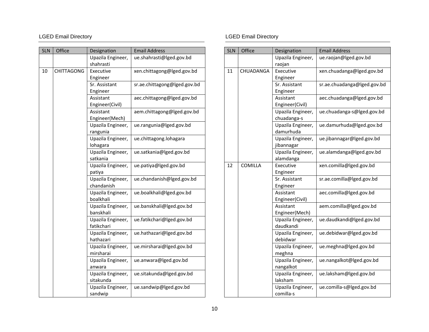| <b>SLN</b> | Office            | Designation                     | <b>Email Address</b>         |
|------------|-------------------|---------------------------------|------------------------------|
|            |                   | Upazila Engineer,<br>shahrasti  | ue.shahrasti@lged.gov.bd     |
| 10         | <b>CHITTAGONG</b> | Executive                       | xen.chittagong@lged.gov.bd   |
|            |                   | Engineer                        |                              |
|            |                   | Sr. Assistant                   | sr.ae.chittagong@lged.gov.bd |
|            |                   | Engineer                        |                              |
|            |                   | Assistant                       | aec.chittagong@lged.gov.bd   |
|            |                   | Engineer(Civil)                 |                              |
|            |                   | Assistant                       | aem.chittagong@lged.gov.bd   |
|            |                   | Engineer(Mech)                  |                              |
|            |                   | Upazila Engineer,<br>rangunia   | ue.rangunia@lged.gov.bd      |
|            |                   | Upazila Engineer,<br>lohagara   | ue.chittagong.lohagara       |
|            |                   | Upazila Engineer,               | ue.satkania@lged.gov.bd      |
|            |                   | satkania                        |                              |
|            |                   | Upazila Engineer,<br>patiya     | ue.patiya@lged.gov.bd        |
|            |                   | Upazila Engineer,               | ue.chandanish@lged.gov.bd    |
|            |                   | chandanish                      |                              |
|            |                   | Upazila Engineer,<br>boalkhali  | ue.boalkhali@lged.gov.bd     |
|            |                   | Upazila Engineer,<br>banskhali  | ue.banskhali@lged.gov.bd     |
|            |                   | Upazila Engineer,<br>fatikchari | ue.fatikchari@lged.gov.bd    |
|            |                   | Upazila Engineer,<br>hathazari  | ue.hathazari@lged.gov.bd     |
|            |                   | Upazila Engineer,<br>mirsharai  | ue.mirsharai@lged.gov.bd     |
|            |                   | Upazila Engineer,<br>anwara     | ue.anwara@lged.gov.bd        |
|            |                   | Upazila Engineer,<br>sitakunda  | ue.sitakunda@lged.gov.bd     |
|            |                   | Upazila Engineer,<br>sandwip    | ue.sandwip@lged.gov.bd       |

| <b>SLN</b> | Office         | Designation       | <b>Email Address</b>        |
|------------|----------------|-------------------|-----------------------------|
|            |                | Upazila Engineer, | ue.raojan@lged.gov.bd       |
|            |                | raojan            |                             |
| 11         | CHUADANGA      | Executive         | xen.chuadanga@lged.gov.bd   |
|            |                | Engineer          |                             |
|            |                | Sr. Assistant     | sr.ae.chuadanga@lged.gov.bd |
|            |                | Engineer          |                             |
|            |                | Assistant         | aec.chuadanga@lged.gov.bd   |
|            |                | Engineer(Civil)   |                             |
|            |                | Upazila Engineer, | ue.chuadanga-s@lged.gov.bd  |
|            |                | chuadanga-s       |                             |
|            |                | Upazila Engineer, | ue.damurhuda@lged.gov.bd    |
|            |                | damurhuda         |                             |
|            |                | Upazila Engineer, | ue.jibannagar@lged.gov.bd   |
|            |                | jibannagar        |                             |
|            |                | Upazila Engineer, | ue.alamdanga@lged.gov.bd    |
|            |                | alamdanga         |                             |
| 12         | <b>COMILLA</b> | Executive         | xen.comilla@lged.gov.bd     |
|            |                | Engineer          |                             |
|            |                | Sr. Assistant     | sr.ae.comilla@lged.gov.bd   |
|            |                | Engineer          |                             |
|            |                | Assistant         | aec.comilla@lged.gov.bd     |
|            |                | Engineer(Civil)   |                             |
|            |                | Assistant         | aem.comilla@lged.gov.bd     |
|            |                | Engineer(Mech)    |                             |
|            |                | Upazila Engineer, | ue.daudkandi@lged.gov.bd    |
|            |                | daudkandi         |                             |
|            |                | Upazila Engineer, | ue.debidwar@lged.gov.bd     |
|            |                | debidwar          |                             |
|            |                | Upazila Engineer, | ue.meghna@lged.gov.bd       |
|            |                | meghna            |                             |
|            |                | Upazila Engineer, | ue.nangalkot@lged.gov.bd    |
|            |                | nangalkot         |                             |
|            |                | Upazila Engineer, | ue.laksham@lged.gov.bd      |
|            |                | laksham           |                             |
|            |                | Upazila Engineer, | ue.comilla-s@lged.gov.bd    |
|            |                | comilla-s         |                             |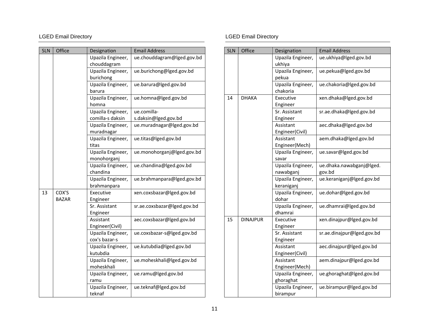| <b>SLN</b> | Office       | Designation                      | <b>Email Address</b>        |
|------------|--------------|----------------------------------|-----------------------------|
|            |              | Upazila Engineer,<br>chouddagram | ue.chouddagram@lged.gov.bd  |
|            |              | Upazila Engineer,                | ue.burichong@lged.gov.bd    |
|            |              | burichong                        |                             |
|            |              | Upazila Engineer,                | ue.barura@lged.gov.bd       |
|            |              | barura                           |                             |
|            |              | Upazila Engineer,<br>homna       | ue.homna@lged.gov.bd        |
|            |              | Upazila Engineer,                | ue.comilla-                 |
|            |              | comilla-s daksin                 | s.daksin@lged.gov.bd        |
|            |              | Upazila Engineer,<br>muradnagar  | ue.muradnagar@lged.gov.bd   |
|            |              | Upazila Engineer,<br>titas       | ue.titas@lged.gov.bd        |
|            |              | Upazila Engineer,<br>monohorganj | ue.monohorganj@lged.gov.bd  |
|            |              | Upazila Engineer,                | ue.chandina@lged.gov.bd     |
|            |              | chandina                         |                             |
|            |              | Upazila Engineer,                | ue.brahmanpara@lged.gov.bd  |
|            |              | brahmanpara                      |                             |
| 13         | COX'S        | Executive                        | xen.coxsbazar@lged.gov.bd   |
|            | <b>BAZAR</b> | Engineer                         |                             |
|            |              | Sr. Assistant<br>Engineer        | sr.ae.coxsbazar@lged.gov.bd |
|            |              | Assistant                        | aec.coxsbazar@lged.gov.bd   |
|            |              | Engineer(Civil)                  |                             |
|            |              | Upazila Engineer,                | ue.coxsbazar-s@lged.gov.bd  |
|            |              | cox's bazar-s                    |                             |
|            |              | Upazila Engineer,                | ue.kutubdia@lged.gov.bd     |
|            |              | kutubdia                         |                             |
|            |              | Upazila Engineer,                | ue.moheskhali@lged.gov.bd   |
|            |              | moheskhali                       |                             |
|            |              | Upazila Engineer,<br>ramu        | ue.ramu@lged.gov.bd         |
|            |              | Upazila Engineer,<br>teknaf      | ue.teknaf@lged.gov.bd       |

| <b>SLN</b> | Office          | Designation                  | <b>Email Address</b>       |
|------------|-----------------|------------------------------|----------------------------|
|            |                 | Upazila Engineer,            | ue.ukhiya@lged.gov.bd      |
|            |                 | ukhiya                       |                            |
|            |                 | Upazila Engineer,            | ue.pekua@lged.gov.bd       |
|            |                 | pekua                        |                            |
|            |                 | Upazila Engineer,            | ue.chakoria@lged.gov.bd    |
|            |                 | chakoria                     |                            |
| 14         | <b>DHAKA</b>    | Executive                    | xen.dhaka@lged.gov.bd      |
|            |                 | Engineer                     |                            |
|            |                 | Sr. Assistant                | sr.ae.dhaka@lged.gov.bd    |
|            |                 | Engineer                     |                            |
|            |                 | Assistant                    | aec.dhaka@lged.gov.bd      |
|            |                 | Engineer(Civil)              |                            |
|            |                 | Assistant                    | aem.dhaka@lged.gov.bd      |
|            |                 | Engineer(Mech)               |                            |
|            |                 | Upazila Engineer,            | ue.savar@lged.gov.bd       |
|            |                 | savar                        |                            |
|            |                 | Upazila Engineer,            | ue.dhaka.nawabganj@lged.   |
|            |                 | nawabganj                    | gov.bd                     |
|            |                 | Upazila Engineer,            | ue.keraniganj@lged.gov.bd  |
|            |                 | keraniganj                   |                            |
|            |                 | Upazila Engineer,<br>dohar   | ue.dohar@lged.gov.bd       |
|            |                 | Upazila Engineer,<br>dhamrai | ue.dhamrai@lged.gov.bd     |
| 15         | <b>DINAJPUR</b> | Executive                    | xen.dinajpur@lged.gov.bd   |
|            |                 | Engineer                     |                            |
|            |                 | Sr. Assistant                | sr.ae.dinajpur@lged.gov.bd |
|            |                 | Engineer                     |                            |
|            |                 | Assistant                    | aec.dinajpur@lged.gov.bd   |
|            |                 | Engineer(Civil)              |                            |
|            |                 | Assistant                    | aem.dinajpur@lged.gov.bd   |
|            |                 | Engineer(Mech)               |                            |
|            |                 | Upazila Engineer,            | ue.ghoraghat@lged.gov.bd   |
|            |                 | ghoraghat                    |                            |
|            |                 | Upazila Engineer,            | ue.birampur@lged.gov.bd    |
|            |                 | birampur                     |                            |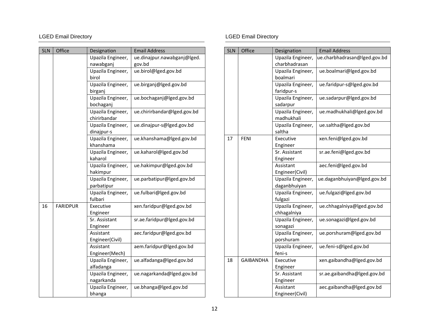| <b>SLN</b> | Office          | Designation                       | <b>Email Address</b>                  |
|------------|-----------------|-----------------------------------|---------------------------------------|
|            |                 | Upazila Engineer,<br>nawabganj    | ue.dinajpur.nawabganj@lged.<br>gov.bd |
|            |                 | Upazila Engineer,<br>birol        | ue.birol@lged.gov.bd                  |
|            |                 | Upazila Engineer,<br>birganj      | ue.birganj@lged.gov.bd                |
|            |                 | Upazila Engineer,<br>bochaganj    | ue.bochaganj@lged.gov.bd              |
|            |                 | Upazila Engineer,<br>chirirbandar | ue.chirirbandar@lged.gov.bd           |
|            |                 | Upazila Engineer,<br>dinajpur-s   | ue.dinajpur-s@lged.gov.bd             |
|            |                 | Upazila Engineer,<br>khanshama    | ue.khanshama@lged.gov.bd              |
|            |                 | Upazila Engineer,<br>kaharol      | ue.kaharol@lged.gov.bd                |
|            |                 | Upazila Engineer,<br>hakimpur     | ue.hakimpur@lged.gov.bd               |
|            |                 | Upazila Engineer,<br>parbatipur   | ue.parbatipur@lged.gov.bd             |
|            |                 | Upazila Engineer,<br>fulbari      | ue.fulbari@lged.gov.bd                |
| 16         | <b>FARIDPUR</b> | Executive<br>Engineer             | xen.faridpur@lged.gov.bd              |
|            |                 | Sr. Assistant<br>Engineer         | sr.ae.faridpur@lged.gov.bd            |
|            |                 | Assistant<br>Engineer(Civil)      | aec.faridpur@lged.gov.bd              |
|            |                 | Assistant<br>Engineer(Mech)       | aem.faridpur@lged.gov.bd              |
|            |                 | Upazila Engineer,<br>alfadanga    | ue.alfadanga@lged.gov.bd              |
|            |                 | Upazila Engineer,<br>nagarkanda   | ue.nagarkanda@lged.gov.bd             |
|            |                 | Upazila Engineer,<br>bhanga       | ue.bhanga@lged.gov.bd                 |

# LGED Email Directory **Contains a later of the COV** CGED Email Directory

| <b>SLN</b> | Office           | Designation                        | <b>Email Address</b>         |
|------------|------------------|------------------------------------|------------------------------|
|            |                  | Upazila Engineer,<br>charbhadrasan | ue.charbhadrasan@lged.gov.bd |
|            |                  | Upazila Engineer,                  | ue.boalmari@lged.gov.bd      |
|            |                  | boalmari                           |                              |
|            |                  | Upazila Engineer,                  | ue.faridpur-s@lged.gov.bd    |
|            |                  | faridpur-s                         |                              |
|            |                  | Upazila Engineer,<br>sadarpur      | ue.sadarpur@lged.gov.bd      |
|            |                  | Upazila Engineer,<br>madhukhali    | ue.madhukhali@lged.gov.bd    |
|            |                  | Upazila Engineer,<br>saltha        | ue.saltha@lged.gov.bd        |
| 17         | <b>FENI</b>      | Executive                          | xen.feni@lged.gov.bd         |
|            |                  | Engineer                           |                              |
|            |                  | Sr. Assistant                      | sr.ae.feni@lged.gov.bd       |
|            |                  | Engineer                           |                              |
|            |                  | Assistant                          | aec.feni@lged.gov.bd         |
|            |                  | Engineer(Civil)                    |                              |
|            |                  | Upazila Engineer,                  | ue.daganbhuiyan@lged.gov.bd  |
|            |                  | daganbhuiyan                       |                              |
|            |                  | Upazila Engineer,<br>fulgazi       | ue.fulgazi@lged.gov.bd       |
|            |                  | Upazila Engineer,<br>chhagalniya   | ue.chhagalniya@lged.gov.bd   |
|            |                  | Upazila Engineer,<br>sonagazi      | ue.sonagazi@lged.gov.bd      |
|            |                  | Upazila Engineer,                  | ue.porshuram@lged.gov.bd     |
|            |                  | porshuram                          |                              |
|            |                  | Upazila Engineer,                  | ue.feni-s@lged.gov.bd        |
|            |                  | feni-s                             |                              |
| 18         | <b>GAIBANDHA</b> | Executive                          | xen.gaibandha@lged.gov.bd    |
|            |                  | Engineer                           |                              |
|            |                  | Sr. Assistant                      | sr.ae.gaibandha@lged.gov.bd  |
|            |                  | Engineer                           |                              |
|            |                  | Assistant                          | aec.gaibandha@lged.gov.bd    |
|            |                  | Engineer(Civil)                    |                              |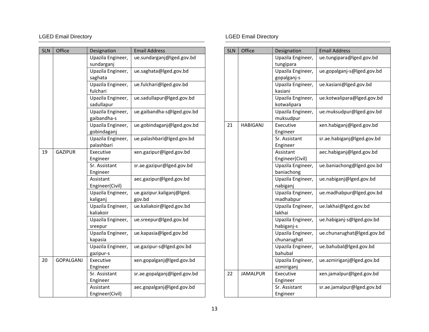| <b>SLN</b> | Office           | Designation               | <b>Email Address</b>        |
|------------|------------------|---------------------------|-----------------------------|
|            |                  | Upazila Engineer,         | ue.sundarganj@lged.gov.bd   |
|            |                  | sundarganj                |                             |
|            |                  | Upazila Engineer,         | ue.saghata@lged.gov.bd      |
|            |                  | saghata                   |                             |
|            |                  | Upazila Engineer,         | ue.fulchari@lged.gov.bd     |
|            |                  | fulchari                  |                             |
|            |                  | Upazila Engineer,         | ue.sadullapur@lged.gov.bd   |
|            |                  | sadullapur                |                             |
|            |                  | Upazila Engineer,         | ue.gaibandha-s@lged.gov.bd  |
|            |                  | gaibandha-s               |                             |
|            |                  | Upazila Engineer,         | ue.gobindaganj@lged.gov.bd  |
|            |                  | gobindaganj               |                             |
|            |                  | Upazila Engineer,         | ue.palashbari@lged.gov.bd   |
| 19         | <b>GAZIPUR</b>   | palashbari<br>Executive   | xen.gazipur@lged.gov.bd     |
|            |                  | Engineer                  |                             |
|            |                  | Sr. Assistant             | sr.ae.gazipur@lged.gov.bd   |
|            |                  | Engineer                  |                             |
|            |                  | Assistant                 | aec.gazipur@lged.gov.bd     |
|            |                  | Engineer(Civil)           |                             |
|            |                  | Upazila Engineer,         | ue.gazipur.kaliganj@lged.   |
|            |                  | kaliganj                  | gov.bd                      |
|            |                  | Upazila Engineer,         | ue.kaliakoir@lged.gov.bd    |
|            |                  | kaliakoir                 |                             |
|            |                  | Upazila Engineer,         | ue.sreepur@lged.gov.bd      |
|            |                  | sreepur                   |                             |
|            |                  | Upazila Engineer,         | ue.kapasia@lged.gov.bd      |
|            |                  | kapasia                   |                             |
|            |                  | Upazila Engineer,         | ue.gazipur-s@lged.gov.bd    |
|            |                  | gazipur-s                 |                             |
| 20         | <b>GOPALGANJ</b> | Executive                 | xen.gopalganj@lged.gov.bd   |
|            |                  | Engineer<br>Sr. Assistant | sr.ae.gopalganj@lged.gov.bd |
|            |                  | Engineer                  |                             |
|            |                  | Assistant                 | aec.gopalganj@lged.gov.bd   |
|            |                  | Engineer(Civil)           |                             |

| <b>SLN</b> | Office          | Designation                    | <b>Email Address</b>       |
|------------|-----------------|--------------------------------|----------------------------|
|            |                 | Upazila Engineer,<br>tungipara | ue.tungipara@lged.gov.bd   |
|            |                 | Upazila Engineer,              | ue.gopalganj-s@lged.gov.bd |
|            |                 | gopalganj-s                    |                            |
|            |                 | Upazila Engineer,              | ue.kasiani@lged.gov.bd     |
|            |                 | kasiani                        |                            |
|            |                 | Upazila Engineer,              | ue.kotwalipara@lged.gov.bd |
|            |                 | kotwalipara                    |                            |
|            |                 | Upazila Engineer,              | ue.muksudpur@lged.gov.bd   |
|            |                 | muksudpur                      |                            |
| 21         | <b>HABIGANJ</b> | Executive                      | xen.habiganj@lged.gov.bd   |
|            |                 | Engineer                       |                            |
|            |                 | Sr. Assistant                  | sr.ae.habiganj@lged.gov.bd |
|            |                 | Engineer                       |                            |
|            |                 | Assistant                      | aec.habiganj@lged.gov.bd   |
|            |                 | Engineer(Civil)                |                            |
|            |                 | Upazila Engineer,              | ue.baniachong@lged.gov.bd  |
|            |                 | baniachong                     |                            |
|            |                 | Upazila Engineer,              | ue.nabiganj@lged.gov.bd    |
|            |                 | nabiganj                       |                            |
|            |                 | Upazila Engineer,              | ue.madhabpur@lged.gov.bd   |
|            |                 | madhabpur                      |                            |
|            |                 | Upazila Engineer,              | ue.lakhai@lged.gov.bd      |
|            |                 | lakhai                         |                            |
|            |                 | Upazila Engineer,              | ue.habiganj-s@lged.gov.bd  |
|            |                 | habiganj-s                     |                            |
|            |                 | Upazila Engineer,              | ue.chunarughat@lged.gov.bd |
|            |                 | chunarughat                    |                            |
|            |                 | Upazila Engineer,              | ue.bahubal@lged.gov.bd     |
|            |                 | bahubal                        |                            |
|            |                 | Upazila Engineer,              | ue.azmiriganj@lged.gov.bd  |
|            |                 | azmiriganj                     |                            |
| 22         | <b>JAMALPUR</b> | Executive                      | xen.jamalpur@lged.gov.bd   |
|            |                 | Engineer                       |                            |
|            |                 | Sr. Assistant                  | sr.ae.jamalpur@lged.gov.bd |
|            |                 | Engineer                       |                            |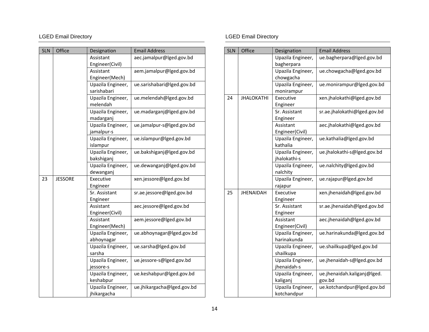| <b>SLN</b> | Office         | Designation                   | <b>Email Address</b>       |
|------------|----------------|-------------------------------|----------------------------|
|            |                | Assistant                     | aec.jamalpur@lged.gov.bd   |
|            |                | Engineer(Civil)               |                            |
|            |                | Assistant                     | aem.jamalpur@lged.gov.bd   |
|            |                | Engineer(Mech)                |                            |
|            |                | Upazila Engineer,             | ue.sarishabari@lged.gov.bd |
|            |                | sarishabari                   |                            |
|            |                | Upazila Engineer,<br>melendah | ue.melendah@lged.gov.bd    |
|            |                | Upazila Engineer,             | ue.madarganj@lged.gov.bd   |
|            |                | madarganj                     |                            |
|            |                | Upazila Engineer,             | ue.jamalpur-s@lged.gov.bd  |
|            |                | jamalpur-s                    |                            |
|            |                | Upazila Engineer,             | ue.islampur@lged.gov.bd    |
|            |                | islampur                      |                            |
|            |                | Upazila Engineer,             | ue.bakshiganj@lged.gov.bd  |
|            |                | bakshiganj                    |                            |
|            |                | Upazila Engineer,             | ue.dewanganj@lged.gov.bd   |
|            |                | dewanganj                     |                            |
| 23         | <b>JESSORE</b> | Executive                     | xen.jessore@lged.gov.bd    |
|            |                | Engineer                      |                            |
|            |                | Sr. Assistant                 | sr.ae.jessore@lged.gov.bd  |
|            |                | Engineer                      |                            |
|            |                | Assistant<br>Engineer(Civil)  | aec.jessore@lged.gov.bd    |
|            |                | Assistant                     | aem.jessore@lged.gov.bd    |
|            |                | Engineer(Mech)                |                            |
|            |                | Upazila Engineer,             | ue.abhoynagar@lged.gov.bd  |
|            |                | abhoynagar                    |                            |
|            |                | Upazila Engineer,             | ue.sarsha@lged.gov.bd      |
|            |                | sarsha                        |                            |
|            |                | Upazila Engineer,             | ue.jessore-s@lged.gov.bd   |
|            |                | jessore-s                     |                            |
|            |                | Upazila Engineer,             | ue.keshabpur@lged.gov.bd   |
|            |                | keshabpur                     |                            |
|            |                | Upazila Engineer,             | ue.jhikargacha@lged.gov.bd |
|            |                | jhikargacha                   |                            |

| <b>SLN</b> | Office            | Designation       | <b>Email Address</b>         |
|------------|-------------------|-------------------|------------------------------|
|            |                   | Upazila Engineer, | ue.bagherpara@lged.gov.bd    |
|            |                   | bagherpara        |                              |
|            |                   | Upazila Engineer, | ue.chowgacha@lged.gov.bd     |
|            |                   | chowgacha         |                              |
|            |                   | Upazila Engineer, | ue.monirampur@lged.gov.bd    |
|            |                   | monirampur        |                              |
| 24         | <b>JHALOKATHI</b> | Executive         | xen.jhalokathi@lged.gov.bd   |
|            |                   | Engineer          |                              |
|            |                   | Sr. Assistant     | sr.ae.jhalokathi@lged.gov.bd |
|            |                   | Engineer          |                              |
|            |                   | Assistant         | aec.jhalokathi@lged.gov.bd   |
|            |                   | Engineer(Civil)   |                              |
|            |                   | Upazila Engineer, | ue.kathalia@lged.gov.bd      |
|            |                   | kathalia          |                              |
|            |                   | Upazila Engineer, | ue.jhalokathi-s@lged.gov.bd  |
|            |                   | jhalokathi-s      |                              |
|            |                   | Upazila Engineer, | ue.nalchity@lged.gov.bd      |
|            |                   | nalchity          |                              |
|            |                   | Upazila Engineer, | ue.rajapur@lged.gov.bd       |
|            |                   | rajapur           |                              |
| 25         | <b>JHENAIDAH</b>  | Executive         | xen.jhenaidah@lged.gov.bd    |
|            |                   | Engineer          |                              |
|            |                   | Sr. Assistant     | sr.ae.jhenaidah@lged.gov.bd  |
|            |                   | Engineer          |                              |
|            |                   | Assistant         | aec.jhenaidah@lged.gov.bd    |
|            |                   | Engineer(Civil)   |                              |
|            |                   | Upazila Engineer, | ue.harinakunda@lged.gov.bd   |
|            |                   | harinakunda       |                              |
|            |                   | Upazila Engineer, | ue.shailkupa@lged.gov.bd     |
|            |                   | shailkupa         |                              |
|            |                   | Upazila Engineer, | ue.jhenaidah-s@lged.gov.bd   |
|            |                   | jhenaidah-s       |                              |
|            |                   | Upazila Engineer, | ue.jhenaidah.kaliganj@lged.  |
|            |                   | kaliganj          | gov.bd                       |
|            |                   | Upazila Engineer, | ue.kotchandpur@lged.gov.bd   |
|            |                   | kotchandpur       |                              |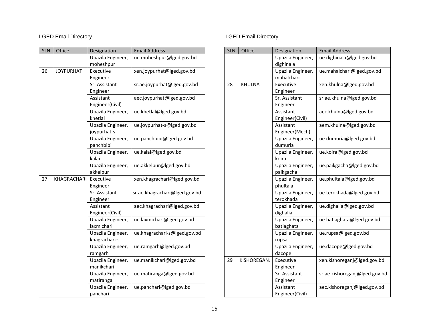| <b>SLN</b> | Office           | Designation                        | <b>Email Address</b>          |
|------------|------------------|------------------------------------|-------------------------------|
|            |                  | Upazila Engineer,<br>moheshpur     | ue.moheshpur@lged.gov.bd      |
| 26         | <b>JOYPURHAT</b> | Executive                          | xen.joypurhat@lged.gov.bd     |
|            |                  | Engineer                           |                               |
|            |                  | Sr. Assistant                      | sr.ae.joypurhat@lged.gov.bd   |
|            |                  | Engineer                           |                               |
|            |                  | Assistant<br>Engineer(Civil)       | aec.joypurhat@lged.gov.bd     |
|            |                  | Upazila Engineer,<br>khetlal       | ue.khetlal@lged.gov.bd        |
|            |                  | Upazila Engineer,<br>joypurhat-s   | ue.joypurhat-s@lged.gov.bd    |
|            |                  | Upazila Engineer,<br>panchbibi     | ue.panchbibi@lged.gov.bd      |
|            |                  | Upazila Engineer,<br>kalai         | ue.kalai@lged.gov.bd          |
|            |                  | Upazila Engineer,<br>akkelpur      | ue.akkelpur@lged.gov.bd       |
| 27         | KHAGRACHARI      | Executive                          | xen.khagrachari@lged.gov.bd   |
|            |                  | Engineer                           |                               |
|            |                  | Sr. Assistant                      | sr.ae.khagrachari@lged.gov.bd |
|            |                  | Engineer                           |                               |
|            |                  | Assistant<br>Engineer(Civil)       | aec.khagrachari@lged.gov.bd   |
|            |                  | Upazila Engineer,<br>laxmichari    | ue.laxmichari@lged.gov.bd     |
|            |                  | Upazila Engineer,<br>khagrachari-s | ue.khagrachari-s@lged.gov.bd  |
|            |                  | Upazila Engineer,                  | ue.ramgarh@lged.gov.bd        |
|            |                  | ramgarh                            |                               |
|            |                  | Upazila Engineer,                  | ue.manikchari@lged.gov.bd     |
|            |                  | manikchari                         |                               |
|            |                  | Upazila Engineer,<br>matiranga     | ue.matiranga@lged.gov.bd      |
|            |                  | Upazila Engineer,                  | ue.panchari@lged.gov.bd       |
|            |                  | panchari                           |                               |

# LGED Email Directory **Contains a later of the COV** CGED Email Directory

| <b>SLN</b> | Office      | Designation                     | <b>Email Address</b>          |
|------------|-------------|---------------------------------|-------------------------------|
|            |             | Upazila Engineer,<br>dighinala  | ue.dighinala@lged.gov.bd      |
|            |             | Upazila Engineer,<br>mahalchari | ue.mahalchari@lged.gov.bd     |
| 28         | KHULNA      | Executive<br>Engineer           | xen.khulna@lged.gov.bd        |
|            |             | Sr. Assistant<br>Engineer       | sr.ae.khulna@lged.gov.bd      |
|            |             | Assistant<br>Engineer(Civil)    | aec.khulna@lged.gov.bd        |
|            |             | Assistant<br>Engineer(Mech)     | aem.khulna@lged.gov.bd        |
|            |             | Upazila Engineer,<br>dumuria    | ue.dumuria@lged.gov.bd        |
|            |             | Upazila Engineer,<br>koira      | ue.koira@lged.gov.bd          |
|            |             | Upazila Engineer,<br>paikgacha  | ue.paikgacha@lged.gov.bd      |
|            |             | Upazila Engineer,<br>phultala   | ue.phultala@lged.gov.bd       |
|            |             | Upazila Engineer,<br>terokhada  | ue.terokhada@lged.gov.bd      |
|            |             | Upazila Engineer,<br>dighalia   | ue.dighalia@lged.gov.bd       |
|            |             | Upazila Engineer,<br>batiaghata | ue.batiaghata@lged.gov.bd     |
|            |             | Upazila Engineer,<br>rupsa      | ue.rupsa@lged.gov.bd          |
|            |             | Upazila Engineer,<br>dacope     | ue.dacope@lged.gov.bd         |
| 29         | KISHOREGANJ | Executive<br>Engineer           | xen.kishoreganj@lged.gov.bd   |
|            |             | Sr. Assistant<br>Engineer       | sr.ae.kishoreganj@lged.gov.bd |
|            |             | Assistant<br>Engineer(Civil)    | aec.kishoreganj@lged.gov.bd   |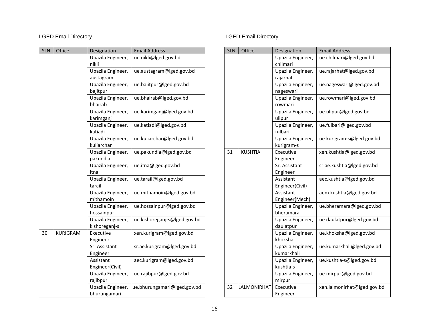| <b>SLN</b> | Office   | Designation                        | <b>Email Address</b>         |
|------------|----------|------------------------------------|------------------------------|
|            |          | Upazila Engineer,<br>nikli         | ue.nikli@lged.gov.bd         |
|            |          | Upazila Engineer,                  | ue.austagram@lged.gov.bd     |
|            |          | austagram                          |                              |
|            |          | Upazila Engineer,                  | ue.bajitpur@lged.gov.bd      |
|            |          | bajitpur                           |                              |
|            |          | Upazila Engineer,<br>bhairab       | ue.bhairab@lged.gov.bd       |
|            |          | Upazila Engineer,<br>karimganj     | ue.karimganj@lged.gov.bd     |
|            |          | Upazila Engineer,<br>katiadi       | ue.katiadi@lged.gov.bd       |
|            |          | Upazila Engineer,<br>kuliarchar    | ue.kuliarchar@lged.gov.bd    |
|            |          | Upazila Engineer,<br>pakundia      | ue.pakundia@lged.gov.bd      |
|            |          | Upazila Engineer,<br>itna          | ue.itna@lged.gov.bd          |
|            |          | Upazila Engineer,<br>tarail        | ue.tarail@lged.gov.bd        |
|            |          | Upazila Engineer,<br>mithamoin     | ue.mithamoin@lged.gov.bd     |
|            |          | Upazila Engineer,<br>hossainpur    | ue.hossainpur@lged.gov.bd    |
|            |          | Upazila Engineer,<br>kishoreganj-s | ue.kishoreganj-s@lged.gov.bd |
| 30         | KURIGRAM | Executive<br>Engineer              | xen.kurigram@lged.gov.bd     |
|            |          | Sr. Assistant                      | sr.ae.kurigram@lged.gov.bd   |
|            |          | Engineer                           |                              |
|            |          | Assistant                          | aec.kurigram@lged.gov.bd     |
|            |          | Engineer(Civil)                    |                              |
|            |          | Upazila Engineer,<br>rajibpur      | ue.rajibpur@lged.gov.bd      |
|            |          | Upazila Engineer,                  | ue.bhurungamari@lged.gov.bd  |
|            |          | bhurungamari                       |                              |

|    | <b>SLN</b> | Office         | Designation                     | <b>Email Address</b>        |
|----|------------|----------------|---------------------------------|-----------------------------|
|    |            |                | Upazila Engineer,<br>chilmari   | ue.chilmari@lged.gov.bd     |
|    |            |                | Upazila Engineer,<br>rajarhat   | ue.rajarhat@lged.gov.bd     |
|    |            |                | Upazila Engineer,<br>nageswari  | ue.nageswari@lged.gov.bd    |
|    |            |                | Upazila Engineer,<br>rowmari    | ue.rowmari@lged.gov.bd      |
|    |            |                | Upazila Engineer,<br>ulipur     | ue.ulipur@lged.gov.bd       |
|    |            |                | Upazila Engineer,<br>fulbari    | ue.fulbari@lged.gov.bd      |
|    |            |                | Upazila Engineer,<br>kurigram-s | ue.kurigram-s@lged.gov.bd   |
|    | 31         | <b>KUSHTIA</b> | Executive<br>Engineer           | xen.kushtia@lged.gov.bd     |
|    |            |                | Sr. Assistant<br>Engineer       | sr.ae.kushtia@lged.gov.bd   |
|    |            |                | Assistant<br>Engineer(Civil)    | aec.kushtia@lged.gov.bd     |
|    |            |                | Assistant<br>Engineer(Mech)     | aem.kushtia@lged.gov.bd     |
|    |            |                | Upazila Engineer,<br>bheramara  | ue.bheramara@lged.gov.bd    |
| þd |            |                | Upazila Engineer,<br>daulatpur  | ue.daulatpur@lged.gov.bd    |
|    |            |                | Upazila Engineer,<br>khoksha    | ue.khoksha@lged.gov.bd      |
|    |            |                | Upazila Engineer,<br>kumarkhali | ue.kumarkhali@lged.gov.bd   |
|    |            |                | Upazila Engineer,<br>kushtia-s  | ue.kushtia-s@lged.gov.bd    |
|    |            |                | Upazila Engineer,<br>mirpur     | ue.mirpur@lged.gov.bd       |
| bd | 32         | LALMONIRHAT    | Executive<br>Engineer           | xen.lalmonirhat@lged.gov.bd |
|    |            |                |                                 |                             |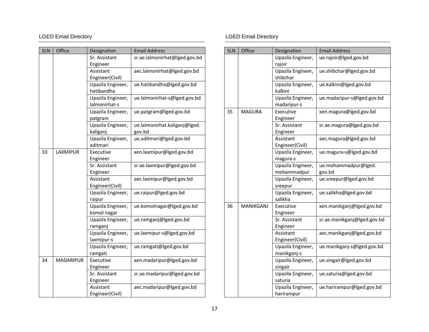| <b>SLN</b> | Office           | Designation           | <b>Email Address</b>          |
|------------|------------------|-----------------------|-------------------------------|
|            |                  | Sr. Assistant         | sr.ae.lalmonirhat@lged.gov.bd |
|            |                  | Engineer              |                               |
|            |                  | Assistant             | aec.lalmonirhat@lged.gov.bd   |
|            |                  | Engineer(Civil)       |                               |
|            |                  | Upazila Engineer,     | ue.hatibandha@lged.gov.bd     |
|            |                  | hatibandha            |                               |
|            |                  | Upazila Engineer,     | ue.lalmonirhat-s@lged.gov.bd  |
|            |                  | lalmonirhat-s         |                               |
|            |                  | Upazila Engineer,     | ue.patgram@lged.gov.bd        |
|            |                  | patgram               |                               |
|            |                  | Upazila Engineer,     | ue.lalmonirhat.kaliganj@lged. |
|            |                  | kaliganj              | gov.bd                        |
|            |                  | Upazila Engineer,     | ue.aditmari@lged.gov.bd       |
|            |                  | aditmari<br>Executive |                               |
| 33         | LAXMIPUR         | Engineer              | xen.laxmipur@lged.gov.bd      |
|            |                  | Sr. Assistant         | sr.ae.laxmipur@lged.gov.bd    |
|            |                  | Engineer              |                               |
|            |                  | Assistant             | aec.laxmipur@lged.gov.bd      |
|            |                  | Engineer(Civil)       |                               |
|            |                  | Upazila Engineer,     | ue.raipur@lged.gov.bd         |
|            |                  | raipur                |                               |
|            |                  | Upazila Engineer,     | ue.komolnagar@lged.gov.bd     |
|            |                  | komol nagar           |                               |
|            |                  | Upazila Engineer,     | ue.ramganj@lged.gov.bd        |
|            |                  | ramganj               |                               |
|            |                  | Upazila Engineer,     | ue.laxmipur-s@lged.gov.bd     |
|            |                  | laxmipur-s            |                               |
|            |                  | Upazila Engineer,     | ue.ramgati@lged.gov.bd        |
|            |                  | ramgati               |                               |
| 34         | <b>MADARIPUR</b> | Executive             | xen.madaripur@lged.gov.bd     |
|            |                  | Engineer              |                               |
|            |                  | Sr. Assistant         | sr.ae.madaripur@lged.gov.bd   |
|            |                  | Engineer              |                               |
|            |                  | Assistant             | aec.madaripur@lged.gov.bd     |
|            |                  | Engineer(Civil)       |                               |

| <b>SLN</b> | Office           | Designation       | <b>Email Address</b>        |
|------------|------------------|-------------------|-----------------------------|
|            |                  | Upazila Engineer, | ue.rajoir@lged.gov.bd       |
|            |                  | rajoir            |                             |
|            |                  | Upazila Engineer, | ue.shibchar@lged.gov.bd     |
|            |                  | shibchar          |                             |
|            |                  | Upazila Engineer, | ue.kalkini@lged.gov.bd      |
|            |                  | kalkini           |                             |
|            |                  | Upazila Engineer, | ue.madaripur-s@lged.gov.bd  |
|            |                  | madaripur-s       |                             |
| 35         | <b>MAGURA</b>    | Executive         | xen.magura@lged.gov.bd      |
|            |                  | Engineer          |                             |
|            |                  | Sr. Assistant     | sr.ae.magura@lged.gov.bd    |
|            |                  | Engineer          |                             |
|            |                  | Assistant         | aec.magura@lged.gov.bd      |
|            |                  | Engineer(Civil)   |                             |
|            |                  | Upazila Engineer, | ue.magura-s@lged.gov.bd     |
|            |                  | magura-s          |                             |
|            |                  | Upazila Engineer, | ue.mohammadpur@lged.        |
|            |                  | mohammadpur       | gov.bd                      |
|            |                  | Upazila Engineer, | ue.sreepur@lged.gov.bd      |
|            |                  | sreepur           |                             |
|            |                  | Upazila Engineer, | ue.salikha@lged.gov.bd      |
|            |                  | salikha           |                             |
| 36         | <b>MANIKGANJ</b> | Executive         | xen.manikganj@lged.gov.bd   |
|            |                  | Engineer          |                             |
|            |                  | Sr. Assistant     | sr.ae.manikganj@lged.gov.bd |
|            |                  | Engineer          |                             |
|            |                  | Assistant         | aec.manikganj@lged.gov.bd   |
|            |                  | Engineer(Civil)   |                             |
|            |                  | Upazila Engineer, | ue.manikganj-s@lged.gov.bd  |
|            |                  | manikganj-s       |                             |
|            |                  | Upazila Engineer, | ue.singair@lged.gov.bd      |
|            |                  | singair           |                             |
|            |                  | Upazila Engineer, | ue.saturia@lged.gov.bd      |
|            |                  | saturia           |                             |
|            |                  | Upazila Engineer, | ue.harirampur@lged.gov.bd   |
|            |                  | harirampur        |                             |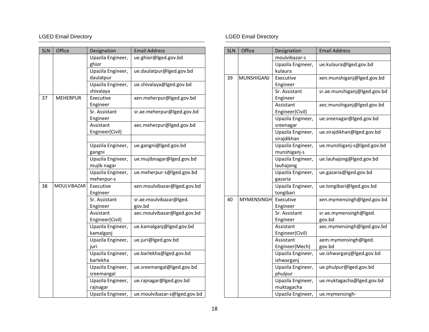| <b>SLN</b> | Office          | Designation                    | <b>Email Address</b>         |
|------------|-----------------|--------------------------------|------------------------------|
|            |                 | Upazila Engineer,<br>ghior     | ue.ghior@lged.gov.bd         |
|            |                 | Upazila Engineer,              | ue.daulatpur@lged.gov.bd     |
|            |                 | daulatpur                      |                              |
|            |                 | Upazila Engineer,              | ue.shivalaya@lged.gov.bd     |
|            |                 | shivalaya                      |                              |
| 37         | <b>MEHERPUR</b> | Executive                      | xen.meherpur@lged.gov.bd     |
|            |                 | Engineer                       |                              |
|            |                 | Sr. Assistant                  | sr.ae.meherpur@lged.gov.bd   |
|            |                 | Engineer                       |                              |
|            |                 | Assistant                      | aec.meherpur@lged.gov.bd     |
|            |                 | Engineer(Civil)                |                              |
|            |                 |                                | ue.gangni@lged.gov.bd        |
|            |                 | Upazila Engineer,<br>gangni    |                              |
|            |                 | Upazila Engineer,              | ue.mujibnagar@lged.gov.bd    |
|            |                 | mujib nagar                    |                              |
|            |                 | Upazila Engineer,              | ue.meherpur-s@lged.gov.bd    |
|            |                 | meherpur-s                     |                              |
| 38         | MOULVIBAZAR     | Executive                      | xen.moulvibazar@lged.gov.bd  |
|            |                 | Engineer                       |                              |
|            |                 | Sr. Assistant                  | sr.ae.moulvibazar@lged.      |
|            |                 | Engineer                       | gov.bd                       |
|            |                 | Assistant                      | aec.moulvibazar@lged.gov.bd  |
|            |                 | Engineer(Civil)                |                              |
|            |                 | Upazila Engineer,<br>kamalganj | ue.kamalganj@lged.gov.bd     |
|            |                 | Upazila Engineer,              | ue.juri@lged.gov.bd          |
|            |                 | juri                           |                              |
|            |                 | Upazila Engineer,              | ue.barlekha@lged.gov.bd      |
|            |                 | barlekha                       |                              |
|            |                 | Upazila Engineer,              | ue.sreemangal@lged.gov.bd    |
|            |                 | sreemangal                     |                              |
|            |                 | Upazila Engineer,              | ue.rajnagar@lged.gov.bd      |
|            |                 | rajnagar                       |                              |
|            |                 | Upazila Engineer,              | ue.moulvibazar-s@lged.gov.bd |

| <b>SLN</b> | Office            | Designation       | <b>Email Address</b>         |
|------------|-------------------|-------------------|------------------------------|
|            |                   | moulvibazar-s     |                              |
|            |                   | Upazila Engineer, | ue.kulaura@lged.gov.bd       |
|            |                   | kulaura           |                              |
| 39         | <b>MUNSHIGANJ</b> | Executive         | xen.munshiganj@lged.gov.bd   |
|            |                   | Engineer          |                              |
|            |                   | Sr. Assistant     | sr.ae.munshiganj@lged.gov.bd |
|            |                   | Engineer          |                              |
|            |                   | Assistant         | aec.munshiganj@lged.gov.bd   |
|            |                   | Engineer(Civil)   |                              |
|            |                   | Upazila Engineer, | ue.sreenagar@lged.gov.bd     |
|            |                   | sreenagar         |                              |
|            |                   | Upazila Engineer, | ue.sirajdikhan@lged.gov.bd   |
|            |                   | sirajdikhan       |                              |
|            |                   | Upazila Engineer, | ue.munshiganj-s@lged.gov.bd  |
|            |                   | munshiganj-s      |                              |
|            |                   | Upazila Engineer, | ue.lauhajong@lged.gov.bd     |
|            |                   | lauhajong         |                              |
|            |                   | Upazila Engineer, | ue.gazaria@lged.gov.bd       |
|            |                   | gazaria           |                              |
|            |                   | Upazila Engineer, | ue.tongibari@lged.gov.bd     |
|            |                   | tongibari         |                              |
| 40         | <b>MYMENSINGH</b> | Executive         | xen.mymensingh@lged.gov.bd   |
|            |                   | Engineer          |                              |
|            |                   | Sr. Assistant     | sr.ae.mymensingh@lged.       |
|            |                   | Engineer          | gov.bd                       |
|            |                   | Assistant         | aec.mymensingh@lged.gov.bd   |
|            |                   | Engineer(Civil)   |                              |
|            |                   | Assistant         | aem.mymensingh@lged.         |
|            |                   | Engineer(Mech)    | gov.bd                       |
|            |                   | Upazila Engineer, | ue.ishwarganj@lged.gov.bd    |
|            |                   | ishwarganj        |                              |
|            |                   | Upazila Engineer, | ue.phulpur@lged.gov.bd       |
|            |                   | phulpur           |                              |
|            |                   | Upazila Engineer, | ue.muktagacha@lged.gov.bd    |
|            |                   | muktagacha        |                              |
|            |                   | Upazila Engineer, | ue.mymensingh-               |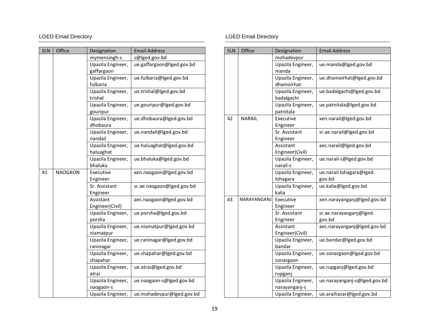| <b>SLN</b> | Office         | Designation                    | <b>Email Address</b>      |
|------------|----------------|--------------------------------|---------------------------|
|            |                | mymensingh-s                   | s@lged.gov.bd             |
|            |                | Upazila Engineer,              | ue.gaffargaon@lged.gov.bd |
|            |                | gaffargaon                     |                           |
|            |                | Upazila Engineer,              | ue.fulbaria@lged.gov.bd   |
|            |                | fulbaria                       |                           |
|            |                | Upazila Engineer,<br>trishal   | ue.trishal@lged.gov.bd    |
|            |                | Upazila Engineer,<br>gouripur  | ue.gouripur@lged.gov.bd   |
|            |                | Upazila Engineer,<br>dhobaura  | ue.dhobaura@lged.gov.bd   |
|            |                | Upazila Engineer,<br>nandail   | ue.nandail@lged.gov.bd    |
|            |                | Upazila Engineer,<br>haluaghat | ue.haluaghat@lged.gov.bd  |
|            |                | Upazila Engineer,<br>bhaluka   | ue.bhaluka@lged.gov.bd    |
| 41         | <b>NAOGAON</b> | Executive                      | xen.naogaon@lged.gov.bd   |
|            |                | Engineer                       |                           |
|            |                | Sr. Assistant                  | sr.ae.naogaon@lged.gov.bd |
|            |                | Engineer                       |                           |
|            |                | Assistant                      | aec.naogaon@lged.gov.bd   |
|            |                | Engineer(Civil)                |                           |
|            |                | Upazila Engineer,<br>porsha    | ue.porsha@lged.gov.bd     |
|            |                | Upazila Engineer,<br>niamatpur | ue.niamatpur@lged.gov.bd  |
|            |                | Upazila Engineer,<br>raninagar | ue.raninagar@lged.gov.bd  |
|            |                | Upazila Engineer,<br>shapahar  | ue.shapahar@lged.gov.bd   |
|            |                | Upazila Engineer,<br>atrai     | ue.atrai@lged.gov.bd      |
|            |                | Upazila Engineer,<br>naogaon-s | ue.naogaon-s@lged.gov.bd  |
|            |                | Upazila Engineer,              | ue.mohadevpur@lged.gov.bd |

| <b>SLN</b> | Office        | Designation       | <b>Email Address</b>         |
|------------|---------------|-------------------|------------------------------|
|            |               | mohadevpur        |                              |
|            |               | Upazila Engineer, | ue.manda@lged.gov.bd         |
|            |               | manda             |                              |
|            |               | Upazila Engineer, | ue.dhamoirhat@lged.gov.bd    |
|            |               | dhamoirhat        |                              |
|            |               | Upazila Engineer, | ue.badalgachi@lged.gov.bd    |
|            |               | badalgachi        |                              |
|            |               | Upazila Engineer, | ue.patnitala@lged.gov.bd     |
|            |               | patnitala         |                              |
| 42         | <b>NARAIL</b> | Executive         | xen.narail@lged.gov.bd       |
|            |               | Engineer          |                              |
|            |               | Sr. Assistant     | sr.ae.narail@lged.gov.bd     |
|            |               | Engineer          |                              |
|            |               | Assistant         | aec.narail@lged.gov.bd       |
|            |               | Engineer(Civil)   |                              |
|            |               | Upazila Engineer, | ue.narail-s@lged.gov.bd      |
|            |               | narail-s          |                              |
|            |               | Upazila Engineer, | ue.narail.lohagara@lged.     |
|            |               | lohagara          | gov.bd                       |
|            |               | Upazila Engineer, | ue.kalia@lged.gov.bd         |
|            |               | kalia             |                              |
| 43         | NARAYANGANJ   | Executive         | xen.narayanganj@lged.gov.bd  |
|            |               | Engineer          |                              |
|            |               | Sr. Assistant     | sr.ae.narayanganj@lged.      |
|            |               | Engineer          | gov.bd                       |
|            |               | Assistant         | aec.narayanganj@lged.gov.bd  |
|            |               | Engineer(Civil)   |                              |
|            |               | Upazila Engineer, | ue.bandar@lged.gov.bd        |
|            |               | bandar            |                              |
|            |               | Upazila Engineer, | ue.sonargaon@lged.gov.bd     |
|            |               | sonargaon         |                              |
|            |               | Upazila Engineer, | ue.rupganj@lged.gov.bd       |
|            |               | rupganj           |                              |
|            |               | Upazila Engineer, | ue.narayanganj-s@lged.gov.bd |
|            |               | narayanganj-s     |                              |
|            |               | Upazila Engineer, | ue.araihazar@lged.gov.bd     |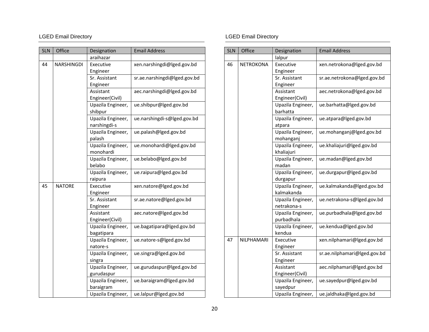| <b>SLN</b> | Office            | Designation       | <b>Email Address</b>         |
|------------|-------------------|-------------------|------------------------------|
|            |                   | araihazar         |                              |
| 44         | <b>NARSHINGDI</b> | Executive         | xen.narshingdi@lged.gov.bd   |
|            |                   | Engineer          |                              |
|            |                   | Sr. Assistant     | sr.ae.narshingdi@lged.gov.bd |
|            |                   | Engineer          |                              |
|            |                   | Assistant         | aec.narshingdi@lged.gov.bd   |
|            |                   | Engineer(Civil)   |                              |
|            |                   | Upazila Engineer, | ue.shibpur@lged.gov.bd       |
|            |                   | shibpur           |                              |
|            |                   | Upazila Engineer, | ue.narshingdi-s@lged.gov.bd  |
|            |                   | narshingdi-s      |                              |
|            |                   | Upazila Engineer, | ue.palash@lged.gov.bd        |
|            |                   | palash            |                              |
|            |                   | Upazila Engineer, | ue.monohardi@lged.gov.bd     |
|            |                   | monohardi         |                              |
|            |                   | Upazila Engineer, | ue.belabo@lged.gov.bd        |
|            |                   | belabo            |                              |
|            |                   | Upazila Engineer, | ue.raipura@lged.gov.bd       |
|            |                   | raipura           |                              |
| 45         | <b>NATORE</b>     | Executive         | xen.natore@lged.gov.bd       |
|            |                   | Engineer          |                              |
|            |                   | Sr. Assistant     | sr.ae.natore@lged.gov.bd     |
|            |                   | Engineer          |                              |
|            |                   | Assistant         | aec.natore@lged.gov.bd       |
|            |                   | Engineer(Civil)   |                              |
|            |                   | Upazila Engineer, | ue.bagatipara@lged.gov.bd    |
|            |                   | bagatipara        |                              |
|            |                   | Upazila Engineer, | ue.natore-s@lged.gov.bd      |
|            |                   | natore-s          |                              |
|            |                   | Upazila Engineer, | ue.singra@lged.gov.bd        |
|            |                   | singra            |                              |
|            |                   | Upazila Engineer, | ue.gurudaspur@lged.gov.bd    |
|            |                   | gurudaspur        |                              |
|            |                   | Upazila Engineer, | ue.baraigram@lged.gov.bd     |
|            |                   | baraigram         |                              |
|            |                   | Upazila Engineer, | ue.lalpur@lged.gov.bd        |

| <b>SLN</b> | Office           | Designation       | <b>Email Address</b>         |
|------------|------------------|-------------------|------------------------------|
|            |                  | lalpur            |                              |
| 46         | <b>NETROKONA</b> | Executive         | xen.netrokona@lged.gov.bd    |
|            |                  | Engineer          |                              |
|            |                  | Sr. Assistant     | sr.ae.netrokona@lged.gov.bd  |
|            |                  | Engineer          |                              |
|            |                  | Assistant         | aec.netrokona@lged.gov.bd    |
|            |                  | Engineer(Civil)   |                              |
|            |                  | Upazila Engineer, | ue.barhatta@lged.gov.bd      |
|            |                  | barhatta          |                              |
|            |                  | Upazila Engineer, | ue.atpara@lged.gov.bd        |
|            |                  | atpara            |                              |
|            |                  | Upazila Engineer, | ue.mohanganj@lged.gov.bd     |
|            |                  | mohanganj         |                              |
|            |                  | Upazila Engineer, | ue.khaliajuri@lged.gov.bd    |
|            |                  | khaliajuri        |                              |
|            |                  | Upazila Engineer, | ue.madan@lged.gov.bd         |
|            |                  | madan             |                              |
|            |                  | Upazila Engineer, | ue.durgapur@lged.gov.bd      |
|            |                  | durgapur          |                              |
|            |                  | Upazila Engineer, | ue.kalmakanda@lged.gov.bd    |
|            |                  | kalmakanda        |                              |
|            |                  | Upazila Engineer, | ue.netrakona-s@lged.gov.bd   |
|            |                  | netrakona-s       |                              |
|            |                  | Upazila Engineer, | ue.purbadhala@lged.gov.bd    |
|            |                  | purbadhala        |                              |
|            |                  | Upazila Engineer, | ue.kendua@lged.gov.bd        |
|            |                  | kendua            |                              |
| 47         | NILPHAMARI       | Executive         | xen.nilphamari@lged.gov.bd   |
|            |                  | Engineer          |                              |
|            |                  | Sr. Assistant     | sr.ae.nilphamari@lged.gov.bd |
|            |                  | Engineer          |                              |
|            |                  | Assistant         | aec.nilphamari@lged.gov.bd   |
|            |                  | Engineer(Civil)   |                              |
|            |                  | Upazila Engineer, | ue.sayedpur@lged.gov.bd      |
|            |                  | sayedpur          |                              |
|            |                  | Upazila Engineer, | ue.jaldhaka@lged.gov.bd      |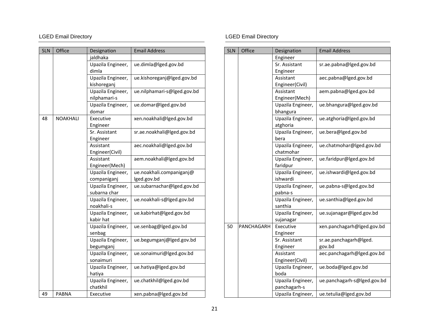| <b>SLN</b> | Office          | Designation                       | <b>Email Address</b>        |
|------------|-----------------|-----------------------------------|-----------------------------|
|            |                 | jaldhaka                          |                             |
|            |                 | Upazila Engineer,<br>dimla        | ue.dimla@lged.gov.bd        |
|            |                 | Upazila Engineer,<br>kishoreganj  | ue.kishoreganj@lged.gov.bd  |
|            |                 | Upazila Engineer,<br>nilphamari-s | ue.nilphamari-s@lged.gov.bd |
|            |                 | Upazila Engineer,<br>domar        | ue.domar@lged.gov.bd        |
| 48         | <b>NOAKHALI</b> | Executive<br>Engineer             | xen.noakhali@lged.gov.bd    |
|            |                 | Sr. Assistant<br>Engineer         | sr.ae.noakhali@lged.gov.bd  |
|            |                 | Assistant<br>Engineer(Civil)      | aec.noakhali@lged.gov.bd    |
|            |                 | Assistant<br>Engineer(Mech)       | aem.noakhali@lged.gov.bd    |
|            |                 | Upazila Engineer,                 | ue.noakhali.companiganj@    |
|            |                 | companiganj                       | lged.gov.bd                 |
|            |                 | Upazila Engineer,<br>subarna char | ue.subarnachar@lged.gov.bd  |
|            |                 | Upazila Engineer,<br>noakhali-s   | ue.noakhali-s@lged.gov.bd   |
|            |                 | Upazila Engineer,<br>kabir hat    | ue.kabirhat@lged.gov.bd     |
|            |                 | Upazila Engineer,<br>senbag       | ue.senbag@lged.gov.bd       |
|            |                 | Upazila Engineer,<br>begumganj    | ue.begumganj@lged.gov.bd    |
|            |                 | Upazila Engineer,<br>sonaimuri    | ue.sonaimuri@lged.gov.bd    |
|            |                 | Upazila Engineer,<br>hatiya       | ue.hatiya@lged.gov.bd       |
|            |                 | Upazila Engineer,<br>chatkhil     | ue.chatkhil@lged.gov.bd     |
| 49         | <b>PABNA</b>    | Executive                         | xen.pabna@lged.gov.bd       |

| <b>SLN</b> | Office     | Designation                       | <b>Email Address</b>        |
|------------|------------|-----------------------------------|-----------------------------|
|            |            | Engineer                          |                             |
|            |            | Sr. Assistant                     | sr.ae.pabna@lged.gov.bd     |
|            |            | Engineer                          |                             |
|            |            | Assistant                         | aec.pabna@lged.gov.bd       |
|            |            | Engineer(Civil)                   |                             |
|            |            | Assistant                         | aem.pabna@lged.gov.bd       |
|            |            | Engineer(Mech)                    |                             |
|            |            | Upazila Engineer,                 | ue.bhangura@lged.gov.bd     |
|            |            | bhangura                          |                             |
|            |            | Upazila Engineer,<br>atghoria     | ue.atghoria@lged.gov.bd     |
|            |            | Upazila Engineer,<br>bera         | ue.bera@lged.gov.bd         |
|            |            | Upazila Engineer,<br>chatmohar    | ue.chatmohar@lged.gov.bd    |
|            |            | Upazila Engineer,<br>faridpur     | ue.faridpur@lged.gov.bd     |
|            |            | Upazila Engineer,<br>ishwardi     | ue.ishwardi@lged.gov.bd     |
|            |            | Upazila Engineer,<br>pabna-s      | ue.pabna-s@lged.gov.bd      |
|            |            | Upazila Engineer,<br>santhia      | ue.santhia@lged.gov.bd      |
|            |            | Upazila Engineer,<br>sujanagar    | ue.sujanagar@lged.gov.bd    |
| 50         | PANCHAGARH | Executive<br>Engineer             | xen.panchagarh@lged.gov.bd  |
|            |            | Sr. Assistant                     | sr.ae.panchagarh@lged.      |
|            |            | Engineer                          | gov.bd                      |
|            |            | Assistant                         | aec.panchagarh@lged.gov.bd  |
|            |            | Engineer(Civil)                   |                             |
|            |            | Upazila Engineer,<br>boda         | ue.boda@lged.gov.bd         |
|            |            | Upazila Engineer,<br>panchagarh-s | ue.panchagarh-s@lged.gov.bd |
|            |            | Upazila Engineer,                 | ue.tetulia@lged.gov.bd      |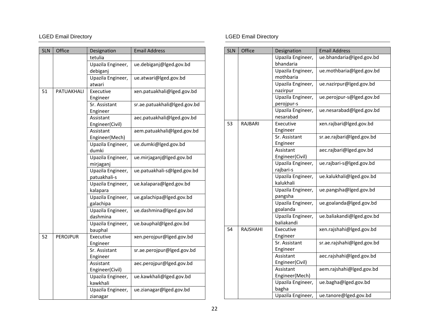| <b>SLN</b> | Office          | Designation       | <b>Email Address</b>         |
|------------|-----------------|-------------------|------------------------------|
|            |                 | tetulia           |                              |
|            |                 | Upazila Engineer, | ue.debiganj@lged.gov.bd      |
|            |                 | debiganj          |                              |
|            |                 | Upazila Engineer, | ue.atwari@lged.gov.bd        |
|            |                 | atwari            |                              |
| 51         | PATUAKHALI      | Executive         | xen.patuakhali@lged.gov.bd   |
|            |                 | Engineer          |                              |
|            |                 | Sr. Assistant     | sr.ae.patuakhali@lged.gov.bd |
|            |                 | Engineer          |                              |
|            |                 | Assistant         | aec.patuakhali@lged.gov.bd   |
|            |                 | Engineer(Civil)   |                              |
|            |                 | Assistant         | aem.patuakhali@lged.gov.bd   |
|            |                 | Engineer(Mech)    |                              |
|            |                 | Upazila Engineer, | ue.dumki@lged.gov.bd         |
|            |                 | dumki             |                              |
|            |                 | Upazila Engineer, | ue.mirjaganj@lged.gov.bd     |
|            |                 | mirjaganj         |                              |
|            |                 | Upazila Engineer, | ue.patuakhali-s@lged.gov.bd  |
|            |                 | patuakhali-s      |                              |
|            |                 | Upazila Engineer, | ue.kalapara@lged.gov.bd      |
|            |                 | kalapara          |                              |
|            |                 | Upazila Engineer, | ue.galachipa@lged.gov.bd     |
|            |                 | galachipa         |                              |
|            |                 | Upazila Engineer, | ue.dashmina@lged.gov.bd      |
|            |                 | dashmina          |                              |
|            |                 | Upazila Engineer, | ue.bauphal@lged.gov.bd       |
|            |                 | bauphal           |                              |
| 52         | <b>PEROJPUR</b> | Executive         | xen.perojpur@lged.gov.bd     |
|            |                 | Engineer          |                              |
|            |                 | Sr. Assistant     | sr.ae.perojpur@lged.gov.bd   |
|            |                 | Engineer          |                              |
|            |                 | Assistant         | aec.perojpur@lged.gov.bd     |
|            |                 | Engineer(Civil)   |                              |
|            |                 | Upazila Engineer, | ue.kawkhali@lged.gov.bd      |
|            |                 | kawkhali          |                              |
|            |                 | Upazila Engineer, | ue.zianagar@lged.gov.bd      |
|            |                 | zianagar          |                              |

| <b>SLN</b> | Office   | Designation                     | <b>Email Address</b>       |
|------------|----------|---------------------------------|----------------------------|
|            |          | Upazila Engineer,<br>bhandaria  | ue.bhandaria@lged.gov.bd   |
|            |          | Upazila Engineer,<br>mothbaria  | ue.mothbaria@lged.gov.bd   |
|            |          | Upazila Engineer,<br>nazirpur   | ue.nazirpur@lged.gov.bd    |
|            |          | Upazila Engineer,<br>perojpur-s | ue.perojpur-s@lged.gov.bd  |
|            |          | Upazila Engineer,<br>nesarabad  | ue.nesarabad@lged.gov.bd   |
| 53         | RAJBARI  | Executive<br>Engineer           | xen.rajbari@lged.gov.bd    |
|            |          | Sr. Assistant<br>Engineer       | sr.ae.rajbari@lged.gov.bd  |
|            |          | Assistant<br>Engineer(Civil)    | aec.rajbari@lged.gov.bd    |
|            |          | Upazila Engineer,<br>rajbari-s  | ue.rajbari-s@lged.gov.bd   |
|            |          | Upazila Engineer,<br>kalukhali  | ue.kalukhali@lged.gov.bd   |
|            |          | Upazila Engineer,<br>pangsha    | ue.pangsha@lged.gov.bd     |
|            |          | Upazila Engineer,<br>goalanda   | ue.goalanda@lged.gov.bd    |
|            |          | Upazila Engineer,<br>baliakandi | ue.baliakandi@lged.gov.bd  |
| 54         | RAJSHAHI | Executive<br>Engineer           | xen.rajshahi@lged.gov.bd   |
|            |          | Sr. Assistant<br>Engineer       | sr.ae.rajshahi@lged.gov.bd |
|            |          | Assistant<br>Engineer(Civil)    | aec.rajshahi@lged.gov.bd   |
|            |          | Assistant<br>Engineer(Mech)     | aem.rajshahi@lged.gov.bd   |
|            |          | Upazila Engineer,<br>bagha      | ue.bagha@lged.gov.bd       |
|            |          | Upazila Engineer,               | ue.tanore@lged.gov.bd      |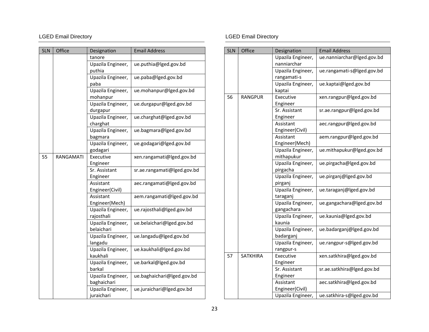| <b>SLN</b> | Office           | Designation                      | <b>Email Address</b>        |
|------------|------------------|----------------------------------|-----------------------------|
|            |                  | tanore                           |                             |
|            |                  | Upazila Engineer,<br>puthia      | ue.puthia@lged.gov.bd       |
|            |                  | Upazila Engineer,<br>paba        | ue.paba@lged.gov.bd         |
|            |                  | Upazila Engineer,<br>mohanpur    | ue.mohanpur@lged.gov.bd     |
|            |                  | Upazila Engineer,<br>durgapur    | ue.durgapur@lged.gov.bd     |
|            |                  | Upazila Engineer,<br>charghat    | ue.charghat@lged.gov.bd     |
|            |                  | Upazila Engineer,<br>bagmara     | ue.bagmara@lged.gov.bd      |
|            |                  | Upazila Engineer,<br>godagari    | ue.godagari@lged.gov.bd     |
| 55         | <b>RANGAMATI</b> | Executive<br>Engineer            | xen.rangamati@lged.gov.bd   |
|            |                  | Sr. Assistant<br>Engineer        | sr.ae.rangamati@lged.gov.bd |
|            |                  | Assistant<br>Engineer(Civil)     | aec.rangamati@lged.gov.bd   |
|            |                  | Assistant<br>Engineer(Mech)      | aem.rangamati@lged.gov.bd   |
|            |                  | Upazila Engineer,<br>rajosthali  | ue.rajosthali@lged.gov.bd   |
|            |                  | Upazila Engineer,<br>belaichari  | ue.belaichari@lged.gov.bd   |
|            |                  | Upazila Engineer,<br>langadu     | ue.langadu@lged.gov.bd      |
|            |                  | Upazila Engineer,<br>kaukhali    | ue.kaukhali@lged.gov.bd     |
|            |                  | Upazila Engineer,<br>barkal      | ue.barkal@lged.gov.bd       |
|            |                  | Upazila Engineer,<br>baghaichari | ue.baghaichari@lged.gov.bd  |
|            |                  | Upazila Engineer,<br>juraichari  | ue.juraichari@lged.gov.bd   |

| <b>SLN</b> | Office          | Designation       | <b>Email Address</b>       |
|------------|-----------------|-------------------|----------------------------|
|            |                 | Upazila Engineer, | ue.nanniarchar@lged.gov.bd |
|            |                 | nanniarchar       |                            |
|            |                 | Upazila Engineer, | ue.rangamati-s@lged.gov.bd |
|            |                 | rangamati-s       |                            |
|            |                 | Upazila Engineer, | ue.kaptai@lged.gov.bd      |
|            |                 | kaptai            |                            |
| 56         | <b>RANGPUR</b>  | Executive         | xen.rangpur@lged.gov.bd    |
|            |                 | Engineer          |                            |
|            |                 | Sr. Assistant     | sr.ae.rangpur@lged.gov.bd  |
|            |                 | Engineer          |                            |
|            |                 | Assistant         | aec.rangpur@lged.gov.bd    |
|            |                 | Engineer(Civil)   |                            |
|            |                 | Assistant         | aem.rangpur@lged.gov.bd    |
|            |                 | Engineer(Mech)    |                            |
|            |                 | Upazila Engineer, | ue.mithapukur@lged.gov.bd  |
|            |                 | mithapukur        |                            |
|            |                 | Upazila Engineer, | ue.pirgacha@lged.gov.bd    |
|            |                 | pirgacha          |                            |
|            |                 | Upazila Engineer, | ue.pirganj@lged.gov.bd     |
|            |                 | pirganj           |                            |
|            |                 | Upazila Engineer, | ue.taraganj@lged.gov.bd    |
|            |                 | taraganj          |                            |
|            |                 | Upazila Engineer, | ue.gangachara@lged.gov.bd  |
|            |                 | gangachara        |                            |
|            |                 | Upazila Engineer, | ue.kaunia@lged.gov.bd      |
|            |                 | kaunia            |                            |
|            |                 | Upazila Engineer, | ue.badarganj@lged.gov.bd   |
|            |                 | badarganj         |                            |
|            |                 | Upazila Engineer, | ue.rangpur-s@lged.gov.bd   |
|            |                 | rangpur-s         |                            |
| 57         | <b>SATKHIRA</b> | Executive         | xen.satkhira@lged.gov.bd   |
|            |                 | Engineer          |                            |
|            |                 | Sr. Assistant     | sr.ae.satkhira@lged.gov.bd |
|            |                 | Engineer          |                            |
|            |                 | Assistant         | aec.satkhira@lged.gov.bd   |
|            |                 | Engineer(Civil)   |                            |
|            |                 | Upazila Engineer, | ue.satkhira-s@lged.gov.bd  |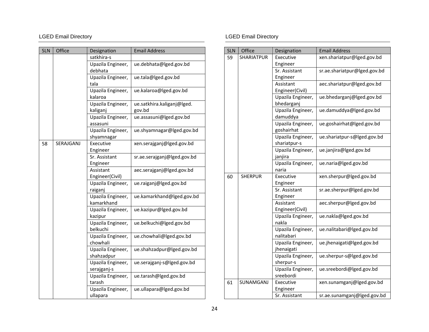| <b>SLN</b> | Office    | Designation                      | <b>Email Address</b>                 |
|------------|-----------|----------------------------------|--------------------------------------|
|            |           | satkhira-s                       |                                      |
|            |           | Upazila Engineer,<br>debhata     | ue.debhata@lged.gov.bd               |
|            |           | Upazila Engineer,<br>tala        | ue.tala@lged.gov.bd                  |
|            |           | Upazila Engineer,<br>kalaroa     | ue.kalaroa@lged.gov.bd               |
|            |           | Upazila Engineer,<br>kaliganj    | ue.satkhira.kaliganj@lged.<br>gov.bd |
|            |           | Upazila Engineer,<br>assasuni    | ue.assasuni@lged.gov.bd              |
|            |           | Upazila Engineer,<br>shyamnagar  | ue.shyamnagar@lged.gov.bd            |
| 58         | SERAJGANJ | Executive<br>Engineer            | xen.serajganj@lged.gov.bd            |
|            |           | Sr. Assistant<br>Engineer        | sr.ae.serajganj@lged.gov.bd          |
|            |           | Assistant<br>Engineer(Civil)     | aec.serajganj@lged.gov.bd            |
|            |           | Upazila Engineer,<br>raiganj     | ue.raiganj@lged.gov.bd               |
|            |           | Upazila Engineer,<br>kamarkhand  | ue.kamarkhand@lged.gov.bd            |
|            |           | Upazila Engineer,<br>kazipur     | ue.kazipur@lged.gov.bd               |
|            |           | Upazila Engineer,<br>belkuchi    | ue.belkuchi@lged.gov.bd              |
|            |           | Upazila Engineer,<br>chowhali    | ue.chowhali@lged.gov.bd              |
|            |           | Upazila Engineer,<br>shahzadpur  | ue.shahzadpur@lged.gov.bd            |
|            |           | Upazila Engineer,<br>serajganj-s | ue.serajganj-s@lged.gov.bd           |
|            |           | Upazila Engineer,<br>tarash      | ue.tarash@lged.gov.bd                |
|            |           | Upazila Engineer,<br>ullapara    | ue.ullapara@lged.gov.bd              |

| <b>SLN</b> | Office           | Designation                       | <b>Email Address</b>         |
|------------|------------------|-----------------------------------|------------------------------|
| 59         | SHARIATPUR       | Executive                         | xen.shariatpur@lged.gov.bd   |
|            |                  | Engineer                          |                              |
|            |                  | Sr. Assistant                     | sr.ae.shariatpur@lged.gov.bd |
|            |                  | Engineer                          |                              |
|            |                  | Assistant                         | aec.shariatpur@lged.gov.bd   |
|            |                  | Engineer(Civil)                   |                              |
|            |                  | Upazila Engineer,<br>bhedarganj   | ue.bhedarganj@lged.gov.bd    |
|            |                  | Upazila Engineer,<br>damuddya     | ue.damuddya@lged.gov.bd      |
|            |                  | Upazila Engineer,<br>goshairhat   | ue.goshairhat@lged.gov.bd    |
|            |                  | Upazila Engineer,<br>shariatpur-s | ue.shariatpur-s@lged.gov.bd  |
|            |                  | Upazila Engineer,<br>janjira      | ue.janjira@lged.gov.bd       |
|            |                  | Upazila Engineer,<br>naria        | ue.naria@lged.gov.bd         |
| 60         | <b>SHERPUR</b>   | Executive                         | xen.sherpur@lged.gov.bd      |
|            |                  | Engineer                          |                              |
|            |                  | Sr. Assistant                     | sr.ae.sherpur@lged.gov.bd    |
|            |                  | Engineer                          |                              |
|            |                  | Assistant                         | aec.sherpur@lged.gov.bd      |
|            |                  | Engineer(Civil)                   |                              |
|            |                  | Upazila Engineer,<br>nakla        | ue.nakla@lged.gov.bd         |
|            |                  | Upazila Engineer,                 | ue.nalitabari@lged.gov.bd    |
|            |                  | nalitabari                        |                              |
|            |                  | Upazila Engineer,<br>jhenaigati   | ue.jhenaigati@lged.gov.bd    |
|            |                  | Upazila Engineer,<br>sherpur-s    | ue.sherpur-s@lged.gov.bd     |
|            |                  | Upazila Engineer,<br>sreebordi    | ue.sreebordi@lged.gov.bd     |
| 61         | <b>SUNAMGANJ</b> | Executive                         | xen.sunamganj@lged.gov.bd    |
|            |                  | Engineer                          |                              |
|            |                  | Sr. Assistant                     | sr.ae.sunamganj@lged.gov.bd  |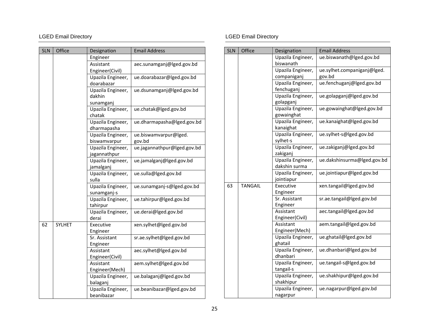| <b>SLN</b> | Office | Designation       | <b>Email Address</b>        |
|------------|--------|-------------------|-----------------------------|
|            |        | Engineer          |                             |
|            |        | Assistant         | aec.sunamganj@lged.gov.bd   |
|            |        | Engineer(Civil)   |                             |
|            |        | Upazila Engineer, | ue.doarabazar@lged.gov.bd   |
|            |        | doarabazar        |                             |
|            |        | Upazila Engineer, | ue.dsunamganj@lged.gov.bd   |
|            |        | dakhin            |                             |
|            |        | sunamganj         |                             |
|            |        | Upazila Engineer, | ue.chatak@lged.gov.bd       |
|            |        | chatak            |                             |
|            |        | Upazila Engineer, | ue.dharmapasha@lged.gov.bd  |
|            |        | dharmapasha       |                             |
|            |        | Upazila Engineer, | ue.biswamvarpur@lged.       |
|            |        | biswamvarpur      | gov.bd                      |
|            |        | Upazila Engineer, | ue.jagannathpur@lged.gov.bd |
|            |        | jagannathpur      |                             |
|            |        | Upazila Engineer, | ue.jamalganj@lged.gov.bd    |
|            |        | jamalganj         |                             |
|            |        | Upazila Engineer, | ue.sulla@lged.gov.bd        |
|            |        | sulla             |                             |
|            |        | Upazila Engineer, | ue.sunamganj-s@lged.gov.bd  |
|            |        | sunamganj-s       |                             |
|            |        | Upazila Engineer, | ue.tahirpur@lged.gov.bd     |
|            |        | tahirpur          |                             |
|            |        | Upazila Engineer, | ue.derai@lged.gov.bd        |
|            |        | derai             |                             |
| 62         | SYLHET | Executive         | xen.sylhet@lged.gov.bd      |
|            |        | Engineer          |                             |
|            |        | Sr. Assistant     | sr.ae.sylhet@lged.gov.bd    |
|            |        | Engineer          |                             |
|            |        | Assistant         | aec.sylhet@lged.gov.bd      |
|            |        | Engineer(Civil)   |                             |
|            |        | Assistant         | aem.sylhet@lged.gov.bd      |
|            |        | Engineer(Mech)    |                             |
|            |        | Upazila Engineer, | ue.balaganj@lged.gov.bd     |
|            |        | balaganj          |                             |
|            |        | Upazila Engineer, | ue.beanibazar@lged.gov.bd   |
|            |        | beanibazar        |                             |

| <b>SLN</b> | Office         | Designation                        | <b>Email Address</b>        |
|------------|----------------|------------------------------------|-----------------------------|
|            |                | Upazila Engineer,<br>biswanath     | ue.biswanath@lged.gov.bd    |
|            |                | Upazila Engineer,                  | ue.sylhet.companiganj@lged. |
|            |                | companiganj                        | gov.bd                      |
|            |                | Upazila Engineer,                  | ue.fenchuganj@lged.gov.bd   |
|            |                | fenchuganj                         |                             |
|            |                | Upazila Engineer,                  | ue.golapganj@lged.gov.bd    |
|            |                | golapganj                          |                             |
|            |                | Upazila Engineer,<br>gowainghat    | ue.gowainghat@lged.gov.bd   |
|            |                | Upazila Engineer,<br>kanaighat     | ue.kanaighat@lged.gov.bd    |
|            |                | Upazila Engineer,<br>sylhet-s      | ue.sylhet-s@lged.gov.bd     |
|            |                | Upazila Engineer,<br>zakiganj      | ue.zakiganj@lged.gov.bd     |
|            |                | Upazila Engineer,<br>dakshin surma | ue.dakshinsurma@lged.gov.bd |
|            |                | Upazila Engineer,<br>jointiapur    | ue.jointiapur@lged.gov.bd   |
| 63         | <b>TANGAIL</b> | Executive                          | xen.tangail@lged.gov.bd     |
|            |                | Engineer                           |                             |
|            |                | Sr. Assistant<br>Engineer          | sr.ae.tangail@lged.gov.bd   |
|            |                | Assistant                          | aec.tangail@lged.gov.bd     |
|            |                | Engineer(Civil)                    |                             |
|            |                | Assistant                          | aem.tangail@lged.gov.bd     |
|            |                | Engineer(Mech)                     |                             |
|            |                | Upazila Engineer,<br>ghatail       | ue.ghatail@lged.gov.bd      |
|            |                | Upazila Engineer,                  | ue.dhanbari@lged.gov.bd     |
|            |                | dhanbari                           |                             |
|            |                | Upazila Engineer,                  | ue.tangail-s@lged.gov.bd    |
|            |                | tangail-s                          |                             |
|            |                | Upazila Engineer,                  | ue.shakhipur@lged.gov.bd    |
|            |                | shakhipur                          |                             |
|            |                | Upazila Engineer,                  | ue.nagarpur@lged.gov.bd     |
|            |                | nagarpur                           |                             |